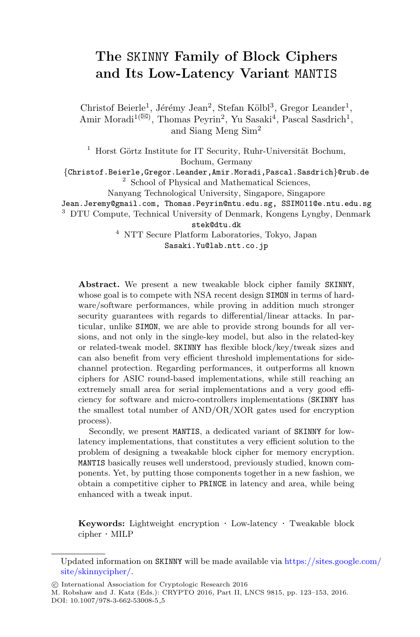# **The** SKINNY **Family of Block Ciphers and Its Low-Latency Variant** MANTIS

Christof Beierle<sup>1</sup>, Jérémy Jean<sup>2</sup>, Stefan Kölbl<sup>3</sup>, Gregor Leander<sup>1</sup>, Amir Moradi<sup>1( $\boxtimes$ )</sup>, Thomas Peyrin<sup>2</sup>, Yu Sasaki<sup>4</sup>, Pascal Sasdrich<sup>1</sup>, and Siang Meng Sim<sup>2</sup>

 $1$  Horst Görtz Institute for IT Security, Ruhr-Universität Bochum, Bochum, Germany

 $\{\mbox{{\tt Christof}.Beierle},\mbox{{\tt Gregor}.Leander},\mbox{{\tt Amir}.Moradi},\mbox{{\tt Pascal}.Sasdrich}\}$  <br> Chub.de  $^2$  School of Physical and Mathematical Sciences,

Nanyang Technological University, Singapore, Singapore

Jean.Jeremy@gmail.com, Thomas.Peyrin@ntu.edu.sg, SSIM011@e.ntu.edu.sg

<sup>3</sup> DTU Compute, Technical University of Denmark, Kongens Lyngby, Denmark

stek@dtu.dk

 $^4\,$  NTT Secure Platform Laboratories, Tokyo, Japan Sasaki.Yu@lab.ntt.co.jp

**Abstract.** We present a new tweakable block cipher family SKINNY, whose goal is to compete with NSA recent design SIMON in terms of hardware/software performances, while proving in addition much stronger security guarantees with regards to differential/linear attacks. In particular, unlike SIMON, we are able to provide strong bounds for all versions, and not only in the single-key model, but also in the related-key or related-tweak model. SKINNY has flexible block/key/tweak sizes and can also benefit from very efficient threshold implementations for sidechannel protection. Regarding performances, it outperforms all known ciphers for ASIC round-based implementations, while still reaching an extremely small area for serial implementations and a very good efficiency for software and micro-controllers implementations (SKINNY has the smallest total number of AND/OR/XOR gates used for encryption process).

Secondly, we present MANTIS, a dedicated variant of SKINNY for lowlatency implementations, that constitutes a very efficient solution to the problem of designing a tweakable block cipher for memory encryption. MANTIS basically reuses well understood, previously studied, known components. Yet, by putting those components together in a new fashion, we obtain a competitive cipher to PRINCE in latency and area, while being enhanced with a tweak input.

**Keywords:** Lightweight encryption · Low-latency · Tweakable block cipher · MILP

Updated information on SKINNY will be made available via [https://sites.google.com/](https://sites.google.com/site/skinnycipher/) [site/skinnycipher/.](https://sites.google.com/site/skinnycipher/)

<sup>-</sup>c International Association for Cryptologic Research 2016

M. Robshaw and J. Katz (Eds.): CRYPTO 2016, Part II, LNCS 9815, pp. 123–153, 2016. DOI: 10.1007/978-3-662-53008-5<sub>-5</sub>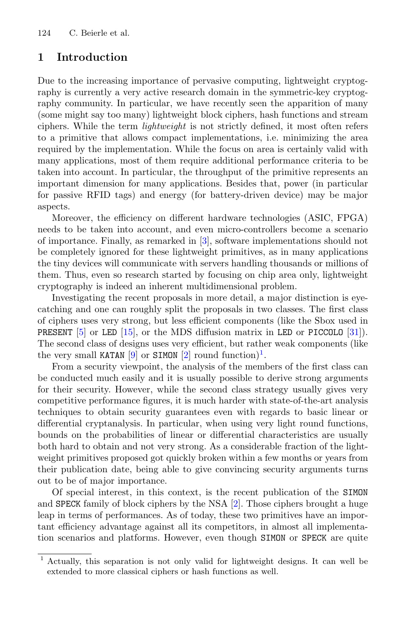## **1 Introduction**

Due to the increasing importance of pervasive computing, lightweight cryptography is currently a very active research domain in the symmetric-key cryptography community. In particular, we have recently seen the apparition of many (some might say too many) lightweight block ciphers, hash functions and stream ciphers. While the term *lightweight* is not strictly defined, it most often refers to a primitive that allows compact implementations, i.e. minimizing the area required by the implementation. While the focus on area is certainly valid with many applications, most of them require additional performance criteria to be taken into account. In particular, the throughput of the primitive represents an important dimension for many applications. Besides that, power (in particular for passive RFID tags) and energy (for battery-driven device) may be major aspects.

Moreover, the efficiency on different hardware technologies (ASIC, FPGA) needs to be taken into account, and even micro-controllers become a scenario of importance. Finally, as remarked in [\[3\]](#page-28-0), software implementations should not be completely ignored for these lightweight primitives, as in many applications the tiny devices will communicate with servers handling thousands or millions of them. Thus, even so research started by focusing on chip area only, lightweight cryptography is indeed an inherent multidimensional problem.

Investigating the recent proposals in more detail, a major distinction is eyecatching and one can roughly split the proposals in two classes. The first class of ciphers uses very strong, but less efficient components (like the Sbox used in **PRESENT** [\[5\]](#page-28-1) or LED  $[15]$  $[15]$ , or the MDS diffusion matrix in LED or PICCOLO  $[31]$ ). The second class of designs uses very efficient, but rather weak components (like the very small KATAN [\[9\]](#page-29-1) or SIMON [\[2](#page-28-2)] round function)<sup>[1](#page-1-0)</sup>.

From a security viewpoint, the analysis of the members of the first class can be conducted much easily and it is usually possible to derive strong arguments for their security. However, while the second class strategy usually gives very competitive performance figures, it is much harder with state-of-the-art analysis techniques to obtain security guarantees even with regards to basic linear or differential cryptanalysis. In particular, when using very light round functions, bounds on the probabilities of linear or differential characteristics are usually both hard to obtain and not very strong. As a considerable fraction of the lightweight primitives proposed got quickly broken within a few months or years from their publication date, being able to give convincing security arguments turns out to be of major importance.

Of special interest, in this context, is the recent publication of the SIMON and SPECK family of block ciphers by the NSA [\[2](#page-28-2)]. Those ciphers brought a huge leap in terms of performances. As of today, these two primitives have an important efficiency advantage against all its competitors, in almost all implementation scenarios and platforms. However, even though SIMON or SPECK are quite

<span id="page-1-0"></span><sup>1</sup> Actually, this separation is not only valid for lightweight designs. It can well be extended to more classical ciphers or hash functions as well.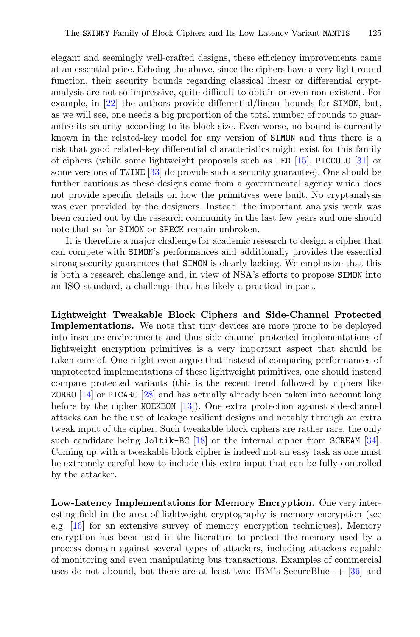elegant and seemingly well-crafted designs, these efficiency improvements came at an essential price. Echoing the above, since the ciphers have a very light round function, their security bounds regarding classical linear or differential cryptanalysis are not so impressive, quite difficult to obtain or even non-existent. For example, in [\[22\]](#page-29-2) the authors provide differential/linear bounds for SIMON, but, as we will see, one needs a big proportion of the total number of rounds to guarantee its security according to its block size. Even worse, no bound is currently known in the related-key model for any version of SIMON and thus there is a risk that good related-key differential characteristics might exist for this family of ciphers (while some lightweight proposals such as LED [\[15\]](#page-29-0), PICCOLO [\[31\]](#page-30-0) or some versions of TWINE [\[33](#page-30-1)] do provide such a security guarantee). One should be further cautious as these designs come from a governmental agency which does not provide specific details on how the primitives were built. No cryptanalysis was ever provided by the designers. Instead, the important analysis work was been carried out by the research community in the last few years and one should note that so far SIMON or SPECK remain unbroken.

It is therefore a major challenge for academic research to design a cipher that can compete with SIMON's performances and additionally provides the essential strong security guarantees that SIMON is clearly lacking. We emphasize that this is both a research challenge and, in view of NSA's efforts to propose SIMON into an ISO standard, a challenge that has likely a practical impact.

**Lightweight Tweakable Block Ciphers and Side-Channel Protected Implementations.** We note that tiny devices are more prone to be deployed into insecure environments and thus side-channel protected implementations of lightweight encryption primitives is a very important aspect that should be taken care of. One might even argue that instead of comparing performances of unprotected implementations of these lightweight primitives, one should instead compare protected variants (this is the recent trend followed by ciphers like ZORRO [\[14](#page-29-3)] or PICARO [\[28](#page-30-2)] and has actually already been taken into account long before by the cipher NOEKEON  $[13]$  $[13]$ . One extra protection against side-channel attacks can be the use of leakage resilient designs and notably through an extra tweak input of the cipher. Such tweakable block ciphers are rather rare, the only such candidate being Joltik-BC [\[18\]](#page-29-5) or the internal cipher from SCREAM [\[34\]](#page-30-3). Coming up with a tweakable block cipher is indeed not an easy task as one must be extremely careful how to include this extra input that can be fully controlled by the attacker.

**Low-Latency Implementations for Memory Encryption.** One very interesting field in the area of lightweight cryptography is memory encryption (see e.g. [\[16](#page-29-6)] for an extensive survey of memory encryption techniques). Memory encryption has been used in the literature to protect the memory used by a process domain against several types of attackers, including attackers capable of monitoring and even manipulating bus transactions. Examples of commercial uses do not abound, but there are at least two: IBM's SecureBlue++  $[36]$  and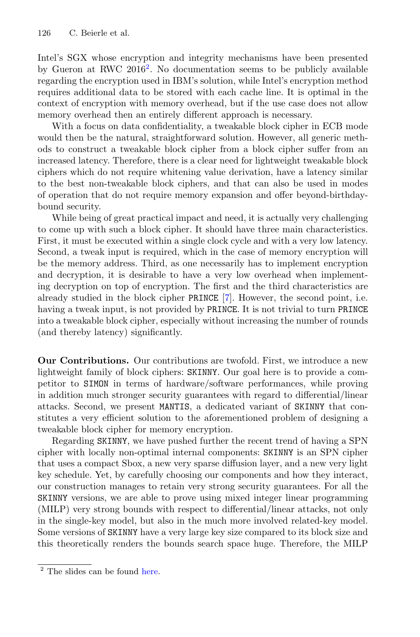Intel's SGX whose encryption and integrity mechanisms have been presented by Gueron at RWC  $2016^2$  $2016^2$ . No documentation seems to be publicly available regarding the encryption used in IBM's solution, while Intel's encryption method requires additional data to be stored with each cache line. It is optimal in the context of encryption with memory overhead, but if the use case does not allow memory overhead then an entirely different approach is necessary.

With a focus on data confidentiality, a tweakable block cipher in ECB mode would then be the natural, straightforward solution. However, all generic methods to construct a tweakable block cipher from a block cipher suffer from an increased latency. Therefore, there is a clear need for lightweight tweakable block ciphers which do not require whitening value derivation, have a latency similar to the best non-tweakable block ciphers, and that can also be used in modes of operation that do not require memory expansion and offer beyond-birthdaybound security.

While being of great practical impact and need, it is actually very challenging to come up with such a block cipher. It should have three main characteristics. First, it must be executed within a single clock cycle and with a very low latency. Second, a tweak input is required, which in the case of memory encryption will be the memory address. Third, as one necessarily has to implement encryption and decryption, it is desirable to have a very low overhead when implementing decryption on top of encryption. The first and the third characteristics are already studied in the block cipher PRINCE [\[7](#page-28-3)]. However, the second point, i.e. having a tweak input, is not provided by PRINCE. It is not trivial to turn PRINCE into a tweakable block cipher, especially without increasing the number of rounds (and thereby latency) significantly.

**Our Contributions.** Our contributions are twofold. First, we introduce a new lightweight family of block ciphers: SKINNY. Our goal here is to provide a competitor to SIMON in terms of hardware/software performances, while proving in addition much stronger security guarantees with regard to differential/linear attacks. Second, we present MANTIS, a dedicated variant of SKINNY that constitutes a very efficient solution to the aforementioned problem of designing a tweakable block cipher for memory encryption.

Regarding SKINNY, we have pushed further the recent trend of having a SPN cipher with locally non-optimal internal components: SKINNY is an SPN cipher that uses a compact Sbox, a new very sparse diffusion layer, and a new very light key schedule. Yet, by carefully choosing our components and how they interact, our construction manages to retain very strong security guarantees. For all the SKINNY versions, we are able to prove using mixed integer linear programming (MILP) very strong bounds with respect to differential/linear attacks, not only in the single-key model, but also in the much more involved related-key model. Some versions of SKINNY have a very large key size compared to its block size and this theoretically renders the bounds search space huge. Therefore, the MILP

<span id="page-3-0"></span><sup>2</sup> The slides can be found [here.](https://drive.google.com/file/d/0Bzm_4XrWnl5zOXdTcUlEMmdZem8/view)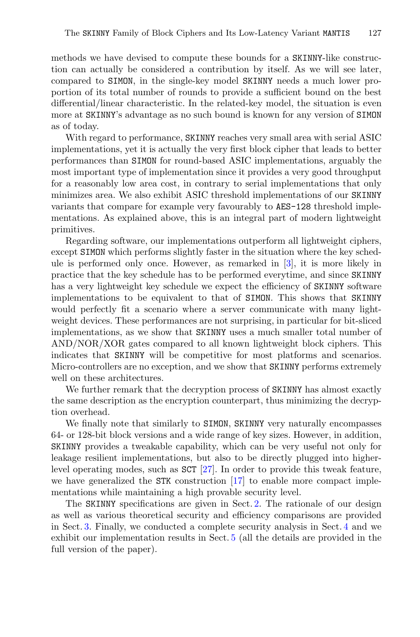methods we have devised to compute these bounds for a SKINNY-like construction can actually be considered a contribution by itself. As we will see later, compared to SIMON, in the single-key model SKINNY needs a much lower proportion of its total number of rounds to provide a sufficient bound on the best differential/linear characteristic. In the related-key model, the situation is even more at SKINNY's advantage as no such bound is known for any version of SIMON as of today.

With regard to performance, SKINNY reaches very small area with serial ASIC implementations, yet it is actually the very first block cipher that leads to better performances than SIMON for round-based ASIC implementations, arguably the most important type of implementation since it provides a very good throughput for a reasonably low area cost, in contrary to serial implementations that only minimizes area. We also exhibit ASIC threshold implementations of our SKINNY variants that compare for example very favourably to AES-128 threshold implementations. As explained above, this is an integral part of modern lightweight primitives.

Regarding software, our implementations outperform all lightweight ciphers, except SIMON which performs slightly faster in the situation where the key schedule is performed only once. However, as remarked in [\[3\]](#page-28-0), it is more likely in practice that the key schedule has to be performed everytime, and since SKINNY has a very lightweight key schedule we expect the efficiency of SKINNY software implementations to be equivalent to that of SIMON. This shows that SKINNY would perfectly fit a scenario where a server communicate with many lightweight devices. These performances are not surprising, in particular for bit-sliced implementations, as we show that SKINNY uses a much smaller total number of AND/NOR/XOR gates compared to all known lightweight block ciphers. This indicates that SKINNY will be competitive for most platforms and scenarios. Micro-controllers are no exception, and we show that SKINNY performs extremely well on these architectures.

We further remark that the decryption process of SKINNY has almost exactly the same description as the encryption counterpart, thus minimizing the decryption overhead.

We finally note that similarly to SIMON, SKINNY very naturally encompasses 64- or 128-bit block versions and a wide range of key sizes. However, in addition, SKINNY provides a tweakable capability, which can be very useful not only for leakage resilient implementations, but also to be directly plugged into higherlevel operating modes, such as SCT [\[27](#page-29-7)]. In order to provide this tweak feature, we have generalized the STK construction [\[17\]](#page-29-8) to enable more compact implementations while maintaining a high provable security level.

The SKINNY specifications are given in Sect. [2.](#page-5-0) The rationale of our design as well as various theoretical security and efficiency comparisons are provided in Sect. [3.](#page-10-0) Finally, we conducted a complete security analysis in Sect. [4](#page-19-0) and we exhibit our implementation results in Sect. [5](#page-22-0) (all the details are provided in the full version of the paper).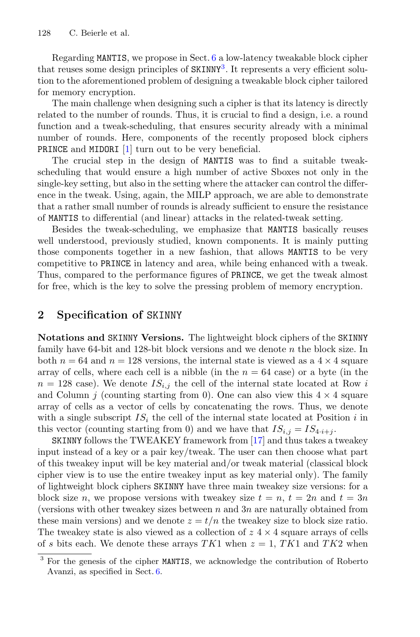Regarding MANTIS, we propose in Sect. [6](#page-22-1) a low-latency tweakable block cipher that reuses some design principles of  $SKINNY<sup>3</sup>$  $SKINNY<sup>3</sup>$  $SKINNY<sup>3</sup>$ . It represents a very efficient solution to the aforementioned problem of designing a tweakable block cipher tailored for memory encryption.

The main challenge when designing such a cipher is that its latency is directly related to the number of rounds. Thus, it is crucial to find a design, i.e. a round function and a tweak-scheduling, that ensures security already with a minimal number of rounds. Here, components of the recently proposed block ciphers PRINCE and MIDORI [\[1\]](#page-28-4) turn out to be very beneficial.

The crucial step in the design of MANTIS was to find a suitable tweakscheduling that would ensure a high number of active Sboxes not only in the single-key setting, but also in the setting where the attacker can control the difference in the tweak. Using, again, the MILP approach, we are able to demonstrate that a rather small number of rounds is already sufficient to ensure the resistance of MANTIS to differential (and linear) attacks in the related-tweak setting.

Besides the tweak-scheduling, we emphasize that MANTIS basically reuses well understood, previously studied, known components. It is mainly putting those components together in a new fashion, that allows MANTIS to be very competitive to PRINCE in latency and area, while being enhanced with a tweak. Thus, compared to the performance figures of PRINCE, we get the tweak almost for free, which is the key to solve the pressing problem of memory encryption.

# <span id="page-5-0"></span>**2 Specification of** SKINNY

**Notations and** SKINNY **Versions.** The lightweight block ciphers of the SKINNY family have 64-bit and 128-bit block versions and we denote  $n$  the block size. In both  $n = 64$  and  $n = 128$  versions, the internal state is viewed as a  $4 \times 4$  square array of cells, where each cell is a nibble (in the  $n = 64$  case) or a byte (in the  $n = 128$  case). We denote  $IS_{i,j}$  the cell of the internal state located at Row i and Column j (counting starting from 0). One can also view this  $4 \times 4$  square array of cells as a vector of cells by concatenating the rows. Thus, we denote with a single subscript  $IS_i$  the cell of the internal state located at Position i in this vector (counting starting from 0) and we have that  $IS_{i,j} = IS_{4\cdot i+j}$ .

SKINNY follows the TWEAKEY framework from [\[17\]](#page-29-8) and thus takes a tweakey input instead of a key or a pair key/tweak. The user can then choose what part of this tweakey input will be key material and/or tweak material (classical block cipher view is to use the entire tweakey input as key material only). The family of lightweight block ciphers SKINNY have three main tweakey size versions: for a block size n, we propose versions with tweakey size  $t = n$ ,  $t = 2n$  and  $t = 3n$ (versions with other tweakey sizes between  $n$  and  $3n$  are naturally obtained from these main versions) and we denote  $z = t/n$  the tweakey size to block size ratio. The tweakey state is also viewed as a collection of  $z \sim 4 \times 4$  square arrays of cells of s bits each. We denote these arrays TK1 when  $z = 1$ , TK1 and TK2 when

<span id="page-5-1"></span><sup>3</sup> For the genesis of the cipher MANTIS, we acknowledge the contribution of Roberto Avanzi, as specified in Sect. [6.](#page-22-1)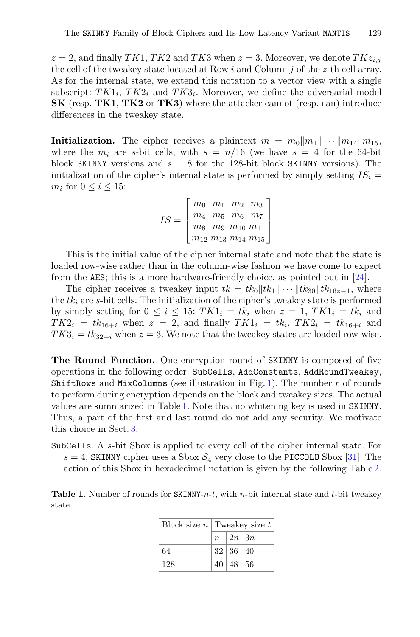$z = 2$ , and finally TK1, TK2 and TK3 when  $z = 3$ . Moreover, we denote TK $z_{i,j}$ the cell of the tweakey state located at Row  $i$  and Column  $j$  of the  $z$ -th cell array. As for the internal state, we extend this notation to a vector view with a single subscript:  $TK1_i$ ,  $TK2_i$  and  $TK3_i$ . Moreover, we define the adversarial model **SK** (resp. **TK1**, **TK2** or **TK3**) where the attacker cannot (resp. can) introduce differences in the tweakey state.

**Initialization.** The cipher receives a plaintext  $m = m_0 || m_1 || \cdots || m_{14} || m_{15}$ , where the  $m_i$  are s-bit cells, with  $s = n/16$  (we have  $s = 4$  for the 64-bit block SKINNY versions and  $s = 8$  for the 128-bit block SKINNY versions). The initialization of the cipher's internal state is performed by simply setting  $IS_i =$  $m_i$  for  $0 \leq i \leq 15$ :

$$
IS = \begin{bmatrix} m_0 & m_1 & m_2 & m_3 \\ m_4 & m_5 & m_6 & m_7 \\ m_8 & m_9 & m_{10} & m_{11} \\ m_{12} & m_{13} & m_{14} & m_{15} \end{bmatrix}
$$

This is the initial value of the cipher internal state and note that the state is loaded row-wise rather than in the column-wise fashion we have come to expect from the AES; this is a more hardware-friendly choice, as pointed out in [\[24](#page-29-9)].

The cipher receives a tweakey input  $tk = tk_0||tk_1|| \cdots ||tk_{30}||tk_{16z-1}$ , where the  $tk_i$  are s-bit cells. The initialization of the cipher's tweakey state is performed by simply setting for  $0 \le i \le 15$ :  $TK1_i = tk_i$  when  $z = 1$ ,  $TK1_i = tk_i$  and  $TK2_i = tk_{16+i}$  when  $z = 2$ , and finally  $TK1_i = tk_i$ ,  $TK2_i = tk_{16+i}$  and  $TK3_i = tk_{32+i}$  when  $z = 3$ . We note that the tweakey states are loaded row-wise.

**The Round Function.** One encryption round of SKINNY is composed of five operations in the following order: SubCells, AddConstants, AddRoundTweakey, ShiftRows and MixColumns (see illustration in Fig. [1\)](#page-7-0). The number  $r$  of rounds to perform during encryption depends on the block and tweakey sizes. The actual values are summarized in Table [1.](#page-6-0) Note that no whitening key is used in SKINNY. Thus, a part of the first and last round do not add any security. We motivate this choice in Sect. [3.](#page-10-0)

SubCells. A s-bit Sbox is applied to every cell of the cipher internal state. For  $s = 4$ , SKINNY cipher uses a Sbox  $S_4$  very close to the PICCOLO Sbox [\[31\]](#page-30-0). The action of this Sbox in hexadecimal notation is given by the following Table [2.](#page-7-1)

<span id="page-6-0"></span>**Table 1.** Number of rounds for SKINNY-*n*-*t*, with *n*-bit internal state and *t*-bit tweakey state.

|     | Block size $n \mid$ Tweakey size t |                      |  |  |  |  |  |
|-----|------------------------------------|----------------------|--|--|--|--|--|
|     |                                    | $n \mid 2n \mid 3n$  |  |  |  |  |  |
| 64  |                                    | 32 36 40             |  |  |  |  |  |
| 128 |                                    | $40 \mid 48 \mid 56$ |  |  |  |  |  |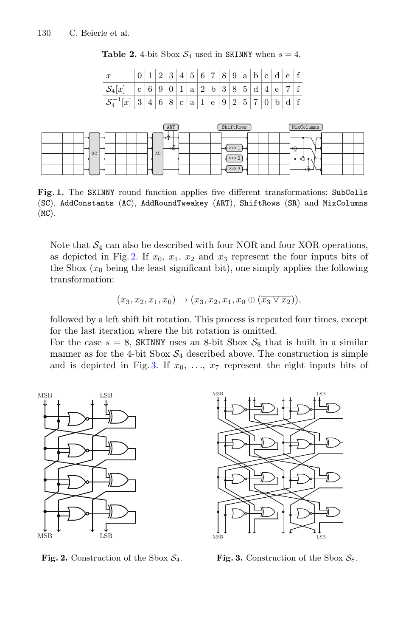<span id="page-7-0"></span>

| $\boldsymbol{x}$   |              |  |  |  |  |  | 123456789a b c d e f      |  |  |
|--------------------|--------------|--|--|--|--|--|---------------------------|--|--|
| $\mathcal{S}_4[x]$ | $\mathbf{c}$ |  |  |  |  |  |                           |  |  |
| $S_4^{-1}[x]  3 $  |              |  |  |  |  |  | 4 6 8 c a 1 e 9 2 5 7 0 b |  |  |

**Table 2.** 4-bit Sbox  $S_4$  used in SKINNY when  $s = 4$ .

<span id="page-7-1"></span>

**Fig. 1.** The SKINNY round function applies five different transformations: SubCells (SC), AddConstants (AC), AddRoundTweakey (ART), ShiftRows (SR) and MixColumns  $(MC)$ .

Note that  $S_4$  can also be described with four NOR and four XOR operations, as depicted in Fig. [2.](#page-7-2) If  $x_0$ ,  $x_1$ ,  $x_2$  and  $x_3$  represent the four inputs bits of the Sbox  $(x_0)$  being the least significant bit), one simply applies the following transformation:

$$
(x_3,x_2,x_1,x_0)\rightarrow (x_3,x_2,x_1,x_0\oplus (\overline{x_3\vee x_2})),
$$

followed by a left shift bit rotation. This process is repeated four times, except for the last iteration where the bit rotation is omitted.

For the case  $s = 8$ , SKINNY uses an 8-bit Sbox  $S_8$  that is built in a similar manner as for the 4-bit Sbox  $S_4$  described above. The construction is simple and is depicted in Fig. [3.](#page-7-3) If  $x_0, \ldots, x_7$  represent the eight inputs bits of



<span id="page-7-2"></span>**Fig. 2.** Construction of the Sbox  $S_4$ .



<span id="page-7-3"></span>**Fig. 3.** Construction of the Sbox  $S_8$ .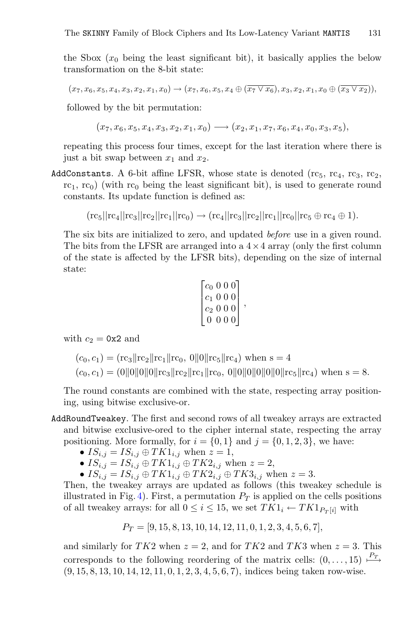the Sbox  $(x_0)$  being the least significant bit), it basically applies the below transformation on the 8-bit state:

 $(x_7, x_6, x_5, x_4, x_3, x_2, x_1, x_0) \rightarrow (x_7, x_6, x_5, x_4 \oplus (\overline{x_7 \vee x_6}), x_3, x_2, x_1, x_0 \oplus (\overline{x_3 \vee x_2})),$ 

followed by the bit permutation:

$$
(x_7, x_6, x_5, x_4, x_3, x_2, x_1, x_0) \longrightarrow (x_2, x_1, x_7, x_6, x_4, x_0, x_3, x_5),
$$

repeating this process four times, except for the last iteration where there is just a bit swap between  $x_1$  and  $x_2$ .

AddConstants. A 6-bit affine LFSR, whose state is denoted  $(rc<sub>5</sub>, rc<sub>4</sub>, rc<sub>3</sub>, rc<sub>2</sub>$ ,  $rc_1$ ,  $rc_0$ ) (with  $rc_0$  being the least significant bit), is used to generate round constants. Its update function is defined as:

$$
(rc5||rc4||rc3||rc2||rc1||rc0) \rightarrow (rc4||rc3||rc2||rc1||rc0||rc5 \oplus rc4 \oplus 1).
$$

The six bits are initialized to zero, and updated *before* use in a given round. The bits from the LFSR are arranged into a  $4 \times 4$  array (only the first column of the state is affected by the LFSR bits), depending on the size of internal state:

$$
\begin{bmatrix} c_0 & 0 & 0 & 0 \ c_1 & 0 & 0 & 0 \ c_2 & 0 & 0 & 0 \ 0 & 0 & 0 & 0 \end{bmatrix},
$$

with  $c_2 = 0x2$  and

$$
(c_0, c_1) = (\text{rc}_3 || \text{rc}_2 || \text{rc}_1 || \text{rc}_0, 0 || 0 || \text{rc}_5 || \text{rc}_4) \text{ when } s = 4
$$
  

$$
(c_0, c_1) = (0 || 0 || 0 || 0 || 0 || \text{rc}_3 || \text{rc}_2 || \text{rc}_1 || \text{rc}_0, 0 || 0 || 0 || 0 || 0 || 0 || \text{rc}_5 || \text{rc}_4) \text{ when } s = 8.
$$

The round constants are combined with the state, respecting array positioning, using bitwise exclusive-or.

### AddRoundTweakey. The first and second rows of all tweakey arrays are extracted and bitwise exclusive-ored to the cipher internal state, respecting the array positioning. More formally, for  $i = \{0, 1\}$  and  $j = \{0, 1, 2, 3\}$ , we have:

- $IS_{i,j} = IS_{i,j} \oplus TK1_{i,j}$  when  $z = 1$ ,
- $IS_{i,j} = IS_{i,j} \oplus TK1_{i,j} \oplus TK2_{i,j}$  when  $z = 2$ ,
- $IS_{i,j} = IS_{i,j} \oplus TK1_{i,j} \oplus TK2_{i,j} \oplus TK3_{i,j}$  when  $z = 3$ .

Then, the tweakey arrays are updated as follows (this tweakey schedule is illustrated in Fig. [4\)](#page-9-0). First, a permutation  $P<sub>T</sub>$  is applied on the cells positions of all tweakey arrays: for all  $0 \leq i \leq 15$ , we set  $TK1_i \leftarrow TK1_{P_T[i]}$  with

$$
P_T = [9, 15, 8, 13, 10, 14, 12, 11, 0, 1, 2, 3, 4, 5, 6, 7],
$$

and similarly for TK2 when  $z = 2$ , and for TK2 and TK3 when  $z = 3$ . This corresponds to the following reordering of the matrix cells:  $(0, \ldots, 15) \stackrel{P_T}{\longmapsto}$ (9, 15, 8, 13, 10, 14, 12, 11, 0, 1, 2, 3, 4, 5, 6, 7), indices being taken row-wise.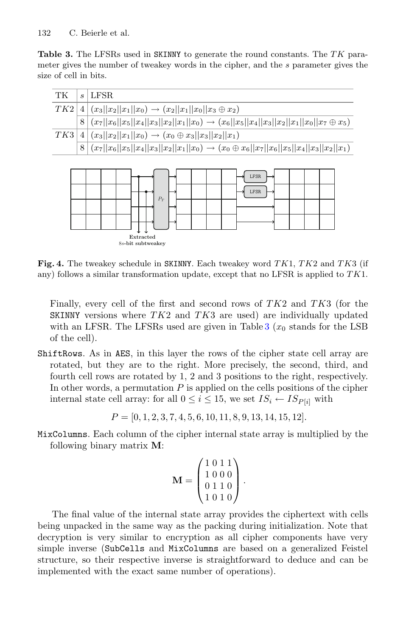<span id="page-9-1"></span>**Table 3.** The LFSRs used in SKINNY to generate the round constants. The *TK* parameter gives the number of tweakey words in the cipher, and the *s* parameter gives the size of cell in bits.



**Fig. 4.** The tweakey schedule in SKINNY. Each tweakey word *TK*1, *TK*2 and *TK*3 (if any) follows a similar transformation update, except that no LFSR is applied to *TK*1.

<span id="page-9-0"></span>Finally, every cell of the first and second rows of  $TK2$  and  $TK3$  (for the SKINNY versions where  $TK2$  and  $TK3$  are used) are individually updated with an LFSR. The LFSRs used are given in Table [3](#page-9-1)  $(x_0$  stands for the LSB of the cell).

ShiftRows. As in AES, in this layer the rows of the cipher state cell array are rotated, but they are to the right. More precisely, the second, third, and fourth cell rows are rotated by 1, 2 and 3 positions to the right, respectively. In other words, a permutation  $P$  is applied on the cells positions of the cipher internal state cell array: for all  $0 \le i \le 15$ , we set  $IS_i \leftarrow IS_{P[i]}$  with

 $P = [0, 1, 2, 3, 7, 4, 5, 6, 10, 11, 8, 9, 13, 14, 15, 12].$ 

MixColumns. Each column of the cipher internal state array is multiplied by the following binary matrix **M**:

$$
\mathbf{M} = \begin{pmatrix} 1 & 0 & 1 & 1 \\ 1 & 0 & 0 & 0 \\ 0 & 1 & 1 & 0 \\ 1 & 0 & 1 & 0 \end{pmatrix}.
$$

The final value of the internal state array provides the ciphertext with cells being unpacked in the same way as the packing during initialization. Note that decryption is very similar to encryption as all cipher components have very simple inverse (SubCells and MixColumns are based on a generalized Feistel structure, so their respective inverse is straightforward to deduce and can be implemented with the exact same number of operations).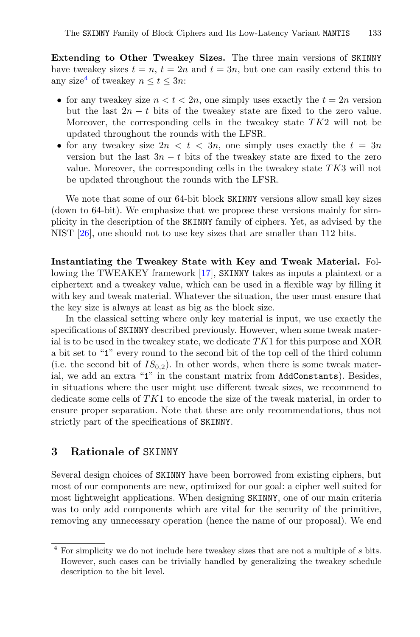**Extending to Other Tweakey Sizes.** The three main versions of SKINNY have tweakey sizes  $t = n$ ,  $t = 2n$  and  $t = 3n$ , but one can easily extend this to any size<sup>[4](#page-10-1)</sup> of tweakey  $n \leq t \leq 3n$ :

- for any tweakey size  $n < t < 2n$ , one simply uses exactly the  $t = 2n$  version but the last  $2n - t$  bits of the tweakey state are fixed to the zero value. Moreover, the corresponding cells in the tweakey state  $TK2$  will not be updated throughout the rounds with the LFSR.
- for any tweakey size  $2n < t < 3n$ , one simply uses exactly the  $t = 3n$ version but the last  $3n - t$  bits of the tweakey state are fixed to the zero value. Moreover, the corresponding cells in the tweakey state  $TK3$  will not be updated throughout the rounds with the LFSR.

We note that some of our 64-bit block SKINNY versions allow small key sizes (down to 64-bit). We emphasize that we propose these versions mainly for simplicity in the description of the SKINNY family of ciphers. Yet, as advised by the NIST [\[26](#page-29-10)], one should not to use key sizes that are smaller than 112 bits.

**Instantiating the Tweakey State with Key and Tweak Material.** Following the TWEAKEY framework [\[17\]](#page-29-8), SKINNY takes as inputs a plaintext or a ciphertext and a tweakey value, which can be used in a flexible way by filling it with key and tweak material. Whatever the situation, the user must ensure that the key size is always at least as big as the block size.

In the classical setting where only key material is input, we use exactly the specifications of SKINNY described previously. However, when some tweak material is to be used in the tweakey state, we dedicate  $TK1$  for this purpose and XOR a bit set to "1" every round to the second bit of the top cell of the third column (i.e. the second bit of  $IS_{0,2}$ ). In other words, when there is some tweak material, we add an extra "1" in the constant matrix from AddConstants). Besides, in situations where the user might use different tweak sizes, we recommend to dedicate some cells of TK1 to encode the size of the tweak material, in order to ensure proper separation. Note that these are only recommendations, thus not strictly part of the specifications of SKINNY.

### <span id="page-10-0"></span>**3 Rationale of** SKINNY

Several design choices of SKINNY have been borrowed from existing ciphers, but most of our components are new, optimized for our goal: a cipher well suited for most lightweight applications. When designing SKINNY, one of our main criteria was to only add components which are vital for the security of the primitive, removing any unnecessary operation (hence the name of our proposal). We end

<span id="page-10-1"></span><sup>4</sup> For simplicity we do not include here tweakey sizes that are not a multiple of *s* bits. However, such cases can be trivially handled by generalizing the tweakey schedule description to the bit level.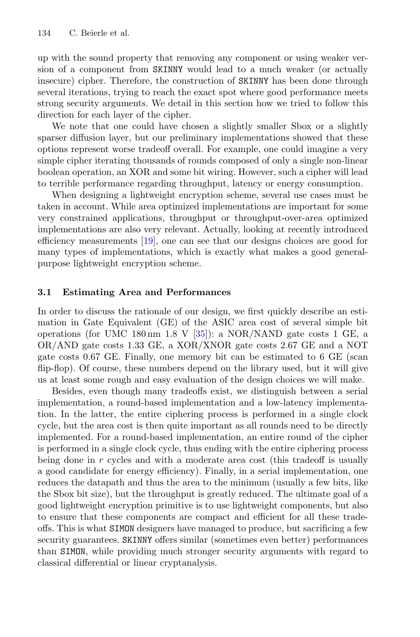up with the sound property that removing any component or using weaker version of a component from SKINNY would lead to a much weaker (or actually insecure) cipher. Therefore, the construction of SKINNY has been done through several iterations, trying to reach the exact spot where good performance meets strong security arguments. We detail in this section how we tried to follow this direction for each layer of the cipher.

We note that one could have chosen a slightly smaller Sbox or a slightly sparser diffusion layer, but our preliminary implementations showed that these options represent worse tradeoff overall. For example, one could imagine a very simple cipher iterating thousands of rounds composed of only a single non-linear boolean operation, an XOR and some bit wiring. However, such a cipher will lead to terrible performance regarding throughput, latency or energy consumption.

When designing a lightweight encryption scheme, several use cases must be taken in account. While area optimized implementations are important for some very constrained applications, throughput or throughput-over-area optimized implementations are also very relevant. Actually, looking at recently introduced efficiency measurements [\[19](#page-29-11)], one can see that our designs choices are good for many types of implementations, which is exactly what makes a good generalpurpose lightweight encryption scheme.

### **3.1 Estimating Area and Performances**

In order to discuss the rationale of our design, we first quickly describe an estimation in Gate Equivalent (GE) of the ASIC area cost of several simple bit operations (for UMC 180 nm 1.8 V [\[35\]](#page-30-5)): a NOR/NAND gate costs 1 GE, a OR/AND gate costs 1.33 GE, a XOR/XNOR gate costs 2.67 GE and a NOT gate costs 0.67 GE. Finally, one memory bit can be estimated to 6 GE (scan flip-flop). Of course, these numbers depend on the library used, but it will give us at least some rough and easy evaluation of the design choices we will make.

Besides, even though many tradeoffs exist, we distinguish between a serial implementation, a round-based implementation and a low-latency implementation. In the latter, the entire ciphering process is performed in a single clock cycle, but the area cost is then quite important as all rounds need to be directly implemented. For a round-based implementation, an entire round of the cipher is performed in a single clock cycle, thus ending with the entire ciphering process being done in r cycles and with a moderate area cost (this tradeoff is usually a good candidate for energy efficiency). Finally, in a serial implementation, one reduces the datapath and thus the area to the minimum (usually a few bits, like the Sbox bit size), but the throughput is greatly reduced. The ultimate goal of a good lightweight encryption primitive is to use lightweight components, but also to ensure that these components are compact and efficient for all these tradeoffs. This is what SIMON designers have managed to produce, but sacrificing a few security guarantees. SKINNY offers similar (sometimes even better) performances than SIMON, while providing much stronger security arguments with regard to classical differential or linear cryptanalysis.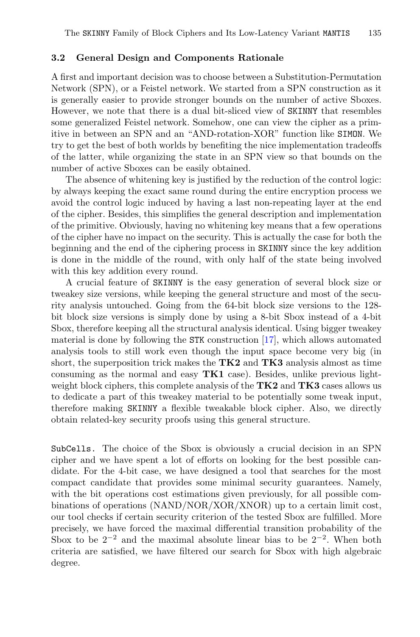### **3.2 General Design and Components Rationale**

A first and important decision was to choose between a Substitution-Permutation Network (SPN), or a Feistel network. We started from a SPN construction as it is generally easier to provide stronger bounds on the number of active Sboxes. However, we note that there is a dual bit-sliced view of SKINNY that resembles some generalized Feistel network. Somehow, one can view the cipher as a primitive in between an SPN and an "AND-rotation-XOR" function like SIMON. We try to get the best of both worlds by benefiting the nice implementation tradeoffs of the latter, while organizing the state in an SPN view so that bounds on the number of active Sboxes can be easily obtained.

The absence of whitening key is justified by the reduction of the control logic: by always keeping the exact same round during the entire encryption process we avoid the control logic induced by having a last non-repeating layer at the end of the cipher. Besides, this simplifies the general description and implementation of the primitive. Obviously, having no whitening key means that a few operations of the cipher have no impact on the security. This is actually the case for both the beginning and the end of the ciphering process in SKINNY since the key addition is done in the middle of the round, with only half of the state being involved with this key addition every round.

A crucial feature of SKINNY is the easy generation of several block size or tweakey size versions, while keeping the general structure and most of the security analysis untouched. Going from the 64-bit block size versions to the 128 bit block size versions is simply done by using a 8-bit Sbox instead of a 4-bit Sbox, therefore keeping all the structural analysis identical. Using bigger tweakey material is done by following the STK construction [\[17\]](#page-29-8), which allows automated analysis tools to still work even though the input space become very big (in short, the superposition trick makes the **TK2** and **TK3** analysis almost as time consuming as the normal and easy **TK1** case). Besides, unlike previous lightweight block ciphers, this complete analysis of the **TK2** and **TK3** cases allows us to dedicate a part of this tweakey material to be potentially some tweak input, therefore making SKINNY a flexible tweakable block cipher. Also, we directly obtain related-key security proofs using this general structure.

SubCells. The choice of the Sbox is obviously a crucial decision in an SPN cipher and we have spent a lot of efforts on looking for the best possible candidate. For the 4-bit case, we have designed a tool that searches for the most compact candidate that provides some minimal security guarantees. Namely, with the bit operations cost estimations given previously, for all possible combinations of operations (NAND/NOR/XOR/XNOR) up to a certain limit cost, our tool checks if certain security criterion of the tested Sbox are fulfilled. More precisely, we have forced the maximal differential transition probability of the Sbox to be  $2^{-2}$  and the maximal absolute linear bias to be  $2^{-2}$ . When both criteria are satisfied, we have filtered our search for Sbox with high algebraic degree.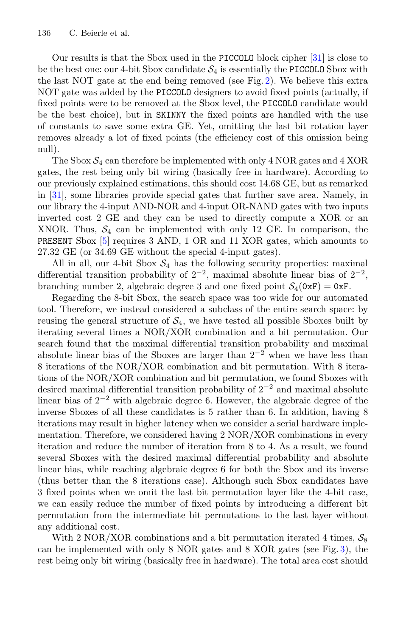Our results is that the Sbox used in the PICCOLO block cipher [\[31](#page-30-0)] is close to be the best one: our 4-bit Sbox candidate  $S_4$  is essentially the PICCOLO Sbox with the last NOT gate at the end being removed (see Fig. [2\)](#page-7-2). We believe this extra NOT gate was added by the PICCOLO designers to avoid fixed points (actually, if fixed points were to be removed at the Sbox level, the PICCOLO candidate would be the best choice), but in SKINNY the fixed points are handled with the use of constants to save some extra GE. Yet, omitting the last bit rotation layer removes already a lot of fixed points (the efficiency cost of this omission being null).

The Sbox  $S_4$  can therefore be implemented with only 4 NOR gates and 4 XOR gates, the rest being only bit wiring (basically free in hardware). According to our previously explained estimations, this should cost 14.68 GE, but as remarked in [\[31](#page-30-0)], some libraries provide special gates that further save area. Namely, in our library the 4-input AND-NOR and 4-input OR-NAND gates with two inputs inverted cost 2 GE and they can be used to directly compute a XOR or an XNOR. Thus,  $S_4$  can be implemented with only 12 GE. In comparison, the PRESENT Sbox [\[5](#page-28-1)] requires 3 AND, 1 OR and 11 XOR gates, which amounts to 27.32 GE (or 34.69 GE without the special 4-input gates).

All in all, our 4-bit Sbox  $S_4$  has the following security properties: maximal differential transition probability of  $2^{-2}$ , maximal absolute linear bias of  $2^{-2}$ , branching number 2, algebraic degree 3 and one fixed point  $S_4(0xF) = 0xF$ .

Regarding the 8-bit Sbox, the search space was too wide for our automated tool. Therefore, we instead considered a subclass of the entire search space: by reusing the general structure of  $S_4$ , we have tested all possible Sboxes built by iterating several times a NOR/XOR combination and a bit permutation. Our search found that the maximal differential transition probability and maximal absolute linear bias of the Sboxes are larger than  $2^{-2}$  when we have less than 8 iterations of the NOR/XOR combination and bit permutation. With 8 iterations of the NOR/XOR combination and bit permutation, we found Sboxes with desired maximal differential transition probability of  $2^{-2}$  and maximal absolute linear bias of  $2^{-2}$  with algebraic degree 6. However, the algebraic degree of the inverse Sboxes of all these candidates is 5 rather than 6. In addition, having 8 iterations may result in higher latency when we consider a serial hardware implementation. Therefore, we considered having 2 NOR/XOR combinations in every iteration and reduce the number of iteration from 8 to 4. As a result, we found several Sboxes with the desired maximal differential probability and absolute linear bias, while reaching algebraic degree 6 for both the Sbox and its inverse (thus better than the 8 iterations case). Although such Sbox candidates have 3 fixed points when we omit the last bit permutation layer like the 4-bit case, we can easily reduce the number of fixed points by introducing a different bit permutation from the intermediate bit permutations to the last layer without any additional cost.

With 2 NOR/XOR combinations and a bit permutation iterated 4 times,  $S_8$ can be implemented with only 8 NOR gates and 8 XOR gates (see Fig. [3\)](#page-7-3), the rest being only bit wiring (basically free in hardware). The total area cost should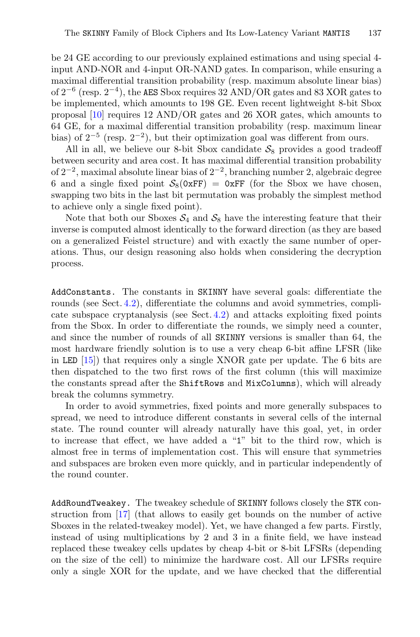be 24 GE according to our previously explained estimations and using special 4 input AND-NOR and 4-input OR-NAND gates. In comparison, while ensuring a maximal differential transition probability (resp. maximum absolute linear bias) of  $2^{-6}$  (resp.  $2^{-4}$ ), the AES Sbox requires 32 AND/OR gates and 83 XOR gates to be implemented, which amounts to 198 GE. Even recent lightweight 8-bit Sbox proposal [\[10\]](#page-29-12) requires 12 AND/OR gates and 26 XOR gates, which amounts to 64 GE, for a maximal differential transition probability (resp. maximum linear bias) of  $2^{-5}$  (resp.  $2^{-2}$ ), but their optimization goal was different from ours.

All in all, we believe our 8-bit Sbox candidate  $S_8$  provides a good tradeoff between security and area cost. It has maximal differential transition probability of  $2^{-2}$ , maximal absolute linear bias of  $2^{-2}$ , branching number 2, algebraic degree 6 and a single fixed point  $S_8(0xF) = 0xFF$  (for the Sbox we have chosen, swapping two bits in the last bit permutation was probably the simplest method to achieve only a single fixed point).

Note that both our Sboxes  $S_4$  and  $S_8$  have the interesting feature that their inverse is computed almost identically to the forward direction (as they are based on a generalized Feistel structure) and with exactly the same number of operations. Thus, our design reasoning also holds when considering the decryption process.

AddConstants. The constants in SKINNY have several goals: differentiate the rounds (see Sect. [4.2\)](#page-21-0), differentiate the columns and avoid symmetries, complicate subspace cryptanalysis (see Sect. [4.2\)](#page-21-1) and attacks exploiting fixed points from the Sbox. In order to differentiate the rounds, we simply need a counter, and since the number of rounds of all SKINNY versions is smaller than 64, the most hardware friendly solution is to use a very cheap 6-bit affine LFSR (like in LED [\[15\]](#page-29-0)) that requires only a single XNOR gate per update. The 6 bits are then dispatched to the two first rows of the first column (this will maximize the constants spread after the ShiftRows and MixColumns), which will already break the columns symmetry.

In order to avoid symmetries, fixed points and more generally subspaces to spread, we need to introduce different constants in several cells of the internal state. The round counter will already naturally have this goal, yet, in order to increase that effect, we have added a "1" bit to the third row, which is almost free in terms of implementation cost. This will ensure that symmetries and subspaces are broken even more quickly, and in particular independently of the round counter.

AddRoundTweakey. The tweakey schedule of SKINNY follows closely the STK construction from [\[17\]](#page-29-8) (that allows to easily get bounds on the number of active Sboxes in the related-tweakey model). Yet, we have changed a few parts. Firstly, instead of using multiplications by 2 and 3 in a finite field, we have instead replaced these tweakey cells updates by cheap 4-bit or 8-bit LFSRs (depending on the size of the cell) to minimize the hardware cost. All our LFSRs require only a single XOR for the update, and we have checked that the differential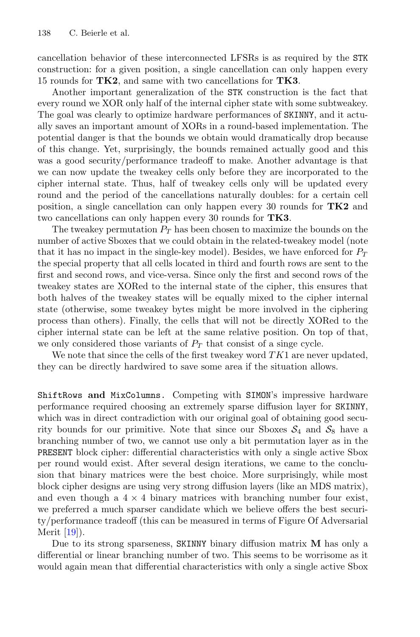cancellation behavior of these interconnected LFSRs is as required by the STK construction: for a given position, a single cancellation can only happen every 15 rounds for **TK2**, and same with two cancellations for **TK3**.

Another important generalization of the STK construction is the fact that every round we XOR only half of the internal cipher state with some subtweakey. The goal was clearly to optimize hardware performances of SKINNY, and it actually saves an important amount of XORs in a round-based implementation. The potential danger is that the bounds we obtain would dramatically drop because of this change. Yet, surprisingly, the bounds remained actually good and this was a good security/performance tradeoff to make. Another advantage is that we can now update the tweakey cells only before they are incorporated to the cipher internal state. Thus, half of tweakey cells only will be updated every round and the period of the cancellations naturally doubles: for a certain cell position, a single cancellation can only happen every 30 rounds for **TK2** and two cancellations can only happen every 30 rounds for **TK3**.

The tweakey permutation  $P_T$  has been chosen to maximize the bounds on the number of active Sboxes that we could obtain in the related-tweakey model (note that it has no impact in the single-key model). Besides, we have enforced for  $P_T$ the special property that all cells located in third and fourth rows are sent to the first and second rows, and vice-versa. Since only the first and second rows of the tweakey states are XORed to the internal state of the cipher, this ensures that both halves of the tweakey states will be equally mixed to the cipher internal state (otherwise, some tweakey bytes might be more involved in the ciphering process than others). Finally, the cells that will not be directly XORed to the cipher internal state can be left at the same relative position. On top of that, we only considered those variants of  $P_T$  that consist of a singe cycle.

We note that since the cells of the first tweakey word  $TK1$  are never updated, they can be directly hardwired to save some area if the situation allows.

ShiftRows **and** MixColumns. Competing with SIMON's impressive hardware performance required choosing an extremely sparse diffusion layer for SKINNY, which was in direct contradiction with our original goal of obtaining good security bounds for our primitive. Note that since our Sboxes  $S_4$  and  $S_8$  have a branching number of two, we cannot use only a bit permutation layer as in the PRESENT block cipher: differential characteristics with only a single active Sbox per round would exist. After several design iterations, we came to the conclusion that binary matrices were the best choice. More surprisingly, while most block cipher designs are using very strong diffusion layers (like an MDS matrix), and even though a  $4 \times 4$  binary matrices with branching number four exist, we preferred a much sparser candidate which we believe offers the best security/performance tradeoff (this can be measured in terms of Figure Of Adversarial Merit [\[19\]](#page-29-11)).

Due to its strong sparseness, SKINNY binary diffusion matrix **M** has only a differential or linear branching number of two. This seems to be worrisome as it would again mean that differential characteristics with only a single active Sbox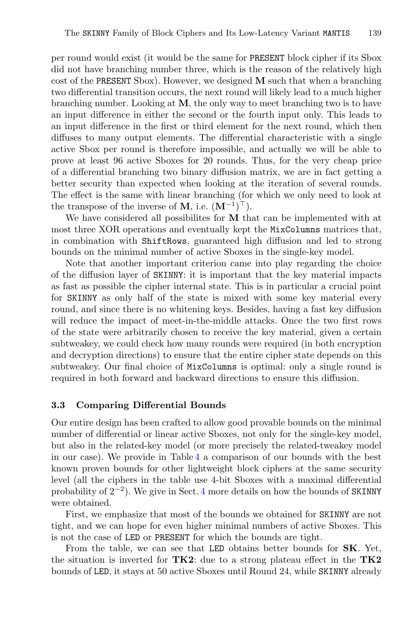per round would exist (it would be the same for PRESENT block cipher if its Sbox did not have branching number three, which is the reason of the relatively high cost of the PRESENT Sbox). However, we designed **M** such that when a branching two differential transition occurs, the next round will likely lead to a much higher branching number. Looking at **M**, the only way to meet branching two is to have an input difference in either the second or the fourth input only. This leads to an input difference in the first or third element for the next round, which then diffuses to many output elements. The differential characteristic with a single active Sbox per round is therefore impossible, and actually we will be able to prove at least 96 active Sboxes for 20 rounds. Thus, for the very cheap price of a differential branching two binary diffusion matrix, we are in fact getting a better security than expected when looking at the iteration of several rounds. The effect is the same with linear branching (for which we only need to look at the transpose of the inverse of **M**, i.e.  $(M^{-1})^{\top}$ .

We have considered all possibilites for **M** that can be implemented with at most three XOR operations and eventually kept the MixColumns matrices that, in combination with ShiftRows, guaranteed high diffusion and led to strong bounds on the minimal number of active Sboxes in the single-key model.

Note that another important criterion came into play regarding the choice of the diffusion layer of SKINNY: it is important that the key material impacts as fast as possible the cipher internal state. This is in particular a crucial point for SKINNY as only half of the state is mixed with some key material every round, and since there is no whitening keys. Besides, having a fast key diffusion will reduce the impact of meet-in-the-middle attacks. Once the two first rows of the state were arbitrarily chosen to receive the key material, given a certain subtweakey, we could check how many rounds were required (in both encryption and decryption directions) to ensure that the entire cipher state depends on this subtweakey. Our final choice of MixColumns is optimal: only a single round is required in both forward and backward directions to ensure this diffusion.

#### **3.3 Comparing Differential Bounds**

Our entire design has been crafted to allow good provable bounds on the minimal number of differential or linear active Sboxes, not only for the single-key model, but also in the related-key model (or more precisely the related-tweakey model in our case). We provide in Table [4](#page-17-0) a comparison of our bounds with the best known proven bounds for other lightweight block ciphers at the same security level (all the ciphers in the table use 4-bit Sboxes with a maximal differential probability of  $2^{-2}$ ). We give in Sect. [4](#page-19-0) more details on how the bounds of SKINNY were obtained.

First, we emphasize that most of the bounds we obtained for SKINNY are not tight, and we can hope for even higher minimal numbers of active Sboxes. This is not the case of LED or PRESENT for which the bounds are tight.

From the table, we can see that LED obtains better bounds for **SK**. Yet, the situation is inverted for **TK2**: due to a strong plateau effect in the **TK2** bounds of LED, it stays at 50 active Sboxes until Round 24, while SKINNY already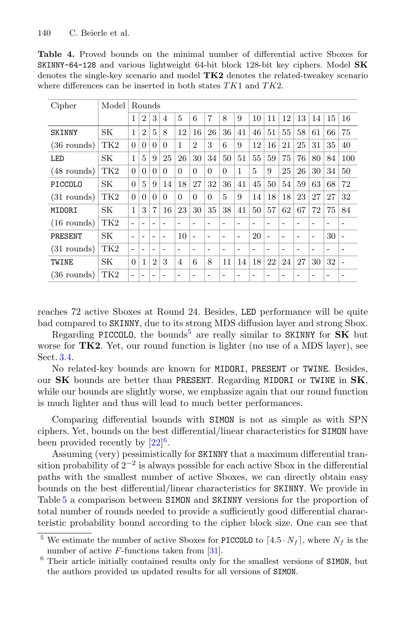<span id="page-17-0"></span>**Table 4.** Proved bounds on the minimal number of differential active Sboxes for SKINNY-64-128 and various lightweight 64-bit block 128-bit key ciphers. Model **SK** denotes the single-key scenario and model **TK2** denotes the related-tweakey scenario where differences can be inserted in both states *TK*1 and *TK*2.

| Cipher        | Model           |          | Rounds         |                |                |                          |                |          |                          |    |                          |    |    |    |                          |    |     |
|---------------|-----------------|----------|----------------|----------------|----------------|--------------------------|----------------|----------|--------------------------|----|--------------------------|----|----|----|--------------------------|----|-----|
|               |                 | 1        | $\overline{2}$ | 3              | $\overline{4}$ | 5                        | 6              | 7        | 8                        | 9  | 10                       | 11 | 12 | 13 | 14                       | 15 | 16  |
| <b>SKINNY</b> | SK              | 1        | $\overline{2}$ | 5              | 8              | 12                       | 16             | 26       | 36                       | 41 | 46                       | 51 | 55 | 58 | 61                       | 66 | 75  |
| $(36$ rounds) | TK <sub>2</sub> | $\Omega$ | $\Omega$       | $\Omega$       | $\Omega$       | 1                        | $\overline{2}$ | 3        | 6                        | 9  | 12                       | 16 | 21 | 25 | 31                       | 35 | 40  |
| LED           | SК              | 1        | 5              | 9              | 25             | 26                       | 30             | 34       | 50                       | 51 | 55                       | 59 | 75 | 76 | 80                       | 84 | 100 |
| $(48$ rounds) | TK <sub>2</sub> | $\Omega$ | $\Omega$       | $\Omega$       | $\Omega$       | $\theta$                 | $\Omega$       | $\Omega$ | $\Omega$                 | 1  | 5                        | 9  | 25 | 26 | 30                       | 34 | 50  |
| PICCOLO       | SК              | $\Omega$ | 5              | 9              | 14             | 18                       | 27             | 32       | 36                       | 41 | 45                       | 50 | 54 | 59 | 63                       | 68 | 72  |
| $(31$ rounds) | TK <sub>2</sub> | $\Omega$ | $\Omega$       | $\Omega$       | $\Omega$       | $\Omega$                 | $\Omega$       | $\Omega$ | $\overline{5}$           | 9  | 14                       | 18 | 18 | 23 | 27                       | 27 | 32  |
| MIDORI        | SK              | 1        | 3              | $\overline{7}$ | 16             | 23                       | 30             | 35       | 38                       | 41 | 50                       | 57 | 62 | 67 | 72                       | 75 | 84  |
| $(16$ rounds) | TK <sub>2</sub> | ۳        |                |                |                | $\overline{\phantom{0}}$ |                |          | -                        | ۰  |                          |    |    |    | $\overline{\phantom{0}}$ | -  |     |
| PRESENT       | SК              | ۰        | ۰              |                |                | 10                       | ۰              |          | ۰                        | ۰  | 20                       | ۰  |    | -  | -                        | 30 | ۰   |
| $(31$ rounds) | TK2             | ۰        | -              | -              | ۰              | -                        | -              | -        | $\overline{\phantom{0}}$ | -  | $\overline{\phantom{0}}$ | ۰  | -  | ۰  | ۰                        | -  | -   |
| TWINE         | SK              | $\Omega$ | 1              | $\overline{2}$ | 3              | $\overline{4}$           | 6              | 8        | 11                       | 14 | 18                       | 22 | 24 | 27 | 30                       | 32 |     |
| $(36$ rounds) | TK <sub>2</sub> | ۳        |                |                |                |                          |                |          |                          |    |                          |    |    |    |                          |    |     |

reaches 72 active Sboxes at Round 24. Besides, LED performance will be quite bad compared to SKINNY, due to its strong MDS diffusion layer and strong Sbox.

Regarding PICCOLO, the bounds<sup>[5](#page-17-1)</sup> are really similar to SKINNY for  $SK$  but worse for **TK2**. Yet, our round function is lighter (no use of a MDS layer), see Sect. [3.4.](#page-18-0)

No related-key bounds are known for MIDORI, PRESENT or TWINE. Besides, our **SK** bounds are better than PRESENT. Regarding MIDORI or TWINE in **SK**, while our bounds are slightly worse, we emphasize again that our round function is much lighter and thus will lead to much better performances.

Comparing differential bounds with SIMON is not as simple as with SPN ciphers. Yet, bounds on the best differential/linear characteristics for SIMON have been provided recently by  $[22]^{6}$  $[22]^{6}$  $[22]^{6}$  $[22]^{6}$ .

Assuming (very) pessimistically for SKINNY that a maximum differential transition probability of  $2^{-2}$  is always possible for each active Sbox in the differential paths with the smallest number of active Sboxes, we can directly obtain easy bounds on the best differential/linear characteristics for SKINNY. We provide in Table [5](#page-18-1) a comparison between SIMON and SKINNY versions for the proportion of total number of rounds needed to provide a sufficiently good differential characteristic probability bound according to the cipher block size. One can see that

<span id="page-17-1"></span><sup>&</sup>lt;sup>5</sup> We estimate the number of active Sboxes for PICCOLO to  $[4.5 \cdot N_f]$ , where  $N_f$  is the number of active *F*-functions taken from [\[31\]](#page-30-0).

<span id="page-17-2"></span><sup>6</sup> Their article initially contained results only for the smallest versions of SIMON, but the authors provided us updated results for all versions of SIMON.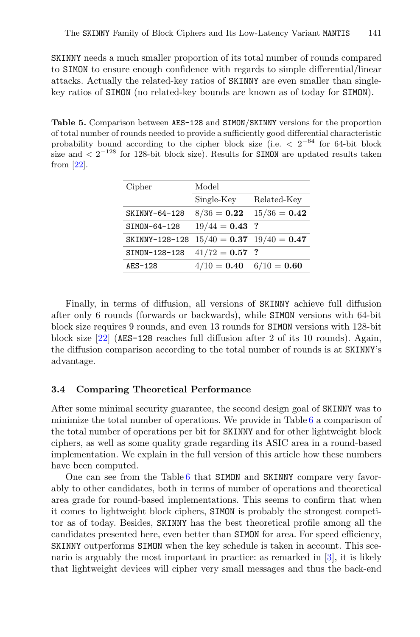SKINNY needs a much smaller proportion of its total number of rounds compared to SIMON to ensure enough confidence with regards to simple differential/linear attacks. Actually the related-key ratios of SKINNY are even smaller than singlekey ratios of SIMON (no related-key bounds are known as of today for SIMON).

<span id="page-18-1"></span>**Table 5.** Comparison between AES-128 and SIMON/SKINNY versions for the proportion of total number of rounds needed to provide a sufficiently good differential characteristic probability bound according to the cipher block size (i.e.  $\langle 2^{-64} \rangle$  for 64-bit block size and < 2<sup>-128</sup> for 128-bit block size). Results for **SIMON** are updated results taken from [\[22](#page-29-2)].

| Cipher         | Model          |                |
|----------------|----------------|----------------|
|                | Single-Key     | Related-Key    |
| SKINNY-64-128  | $8/36 = 0.22$  | $15/36 = 0.42$ |
| SIMON-64-128   | $19/44 = 0.43$ | $\cdot$ ?      |
| SKINNY-128-128 | $15/40 = 0.37$ | $19/40 = 0.47$ |
| SIMON-128-128  | $41/72 = 0.57$ | $\mathbf{r}$   |
| $AES-128$      | $4/10 = 0.40$  | $6/10 = 0.60$  |

Finally, in terms of diffusion, all versions of SKINNY achieve full diffusion after only 6 rounds (forwards or backwards), while SIMON versions with 64-bit block size requires 9 rounds, and even 13 rounds for SIMON versions with 128-bit block size [\[22\]](#page-29-2) (AES-128 reaches full diffusion after 2 of its 10 rounds). Again, the diffusion comparison according to the total number of rounds is at SKINNY's advantage.

#### <span id="page-18-0"></span>**3.4 Comparing Theoretical Performance**

After some minimal security guarantee, the second design goal of SKINNY was to minimize the total number of operations. We provide in Table  $6$  a comparison of the total number of operations per bit for SKINNY and for other lightweight block ciphers, as well as some quality grade regarding its ASIC area in a round-based implementation. We explain in the full version of this article how these numbers have been computed.

One can see from the Table [6](#page-19-1) that SIMON and SKINNY compare very favorably to other candidates, both in terms of number of operations and theoretical area grade for round-based implementations. This seems to confirm that when it comes to lightweight block ciphers, SIMON is probably the strongest competitor as of today. Besides, SKINNY has the best theoretical profile among all the candidates presented here, even better than SIMON for area. For speed efficiency, SKINNY outperforms SIMON when the key schedule is taken in account. This scenario is arguably the most important in practice: as remarked in [\[3](#page-28-0)], it is likely that lightweight devices will cipher very small messages and thus the back-end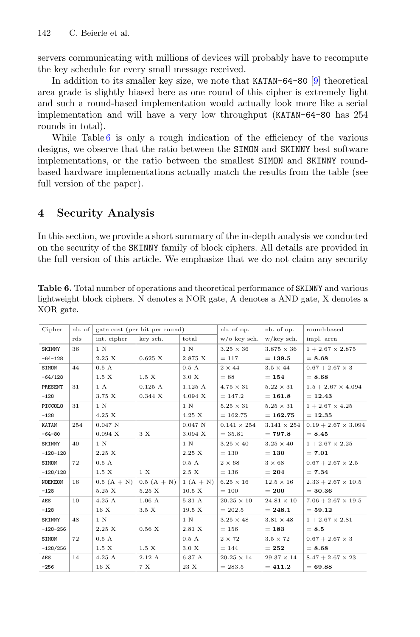servers communicating with millions of devices will probably have to recompute the key schedule for every small message received.

In addition to its smaller key size, we note that KATAN-64-80 [\[9](#page-29-1)] theoretical area grade is slightly biased here as one round of this cipher is extremely light and such a round-based implementation would actually look more like a serial implementation and will have a very low throughput (KATAN-64-80 has 254 rounds in total).

While Table [6](#page-19-1) is only a rough indication of the efficiency of the various designs, we observe that the ratio between the SIMON and SKINNY best software implementations, or the ratio between the smallest SIMON and SKINNY roundbased hardware implementations actually match the results from the table (see full version of the paper).

# <span id="page-19-0"></span>**4 Security Analysis**

In this section, we provide a short summary of the in-depth analysis we conducted on the security of the SKINNY family of block ciphers. All details are provided in the full version of this article. We emphasize that we do not claim any security

| Cipher        | $nb.$ of |                 | gate cost (per bit per round) |                 | nb. of op.         | nb. of op.         | round-based                |
|---------------|----------|-----------------|-------------------------------|-----------------|--------------------|--------------------|----------------------------|
|               | rds      | int. cipher     | key sch.                      | total           | $w/o$ key sch.     | $w$ /key sch.      | impl. area                 |
| SKINNY        | 36       | 1 N             |                               | 1 N             | $3.25 \times 36$   | $3.875 \times 36$  | $1 + 2.67 \times 2.875$    |
| $-64-128$     |          | $2.25\text{ X}$ | $0.625\text{ X}$              | 2.875 X         | $=117$             | $= 139.5$          | $= 8.68$                   |
| SIMON         | 44       | 0.5A            |                               | 0.5A            | $2 \times 44$      | $3.5 \times 44$    | $0.67 + 2.67 \times 3$     |
| $-64/128$     |          | $1.5\ X$        | $1.5\text{ X}$                | $3.0\text{ X}$  | $= 88$             | $= 154$            | $= 8.68$                   |
| PRESENT       | 31       | 1A              | $0.125$ A                     | 1.125A          | $4.75 \times 31$   | $5.22 \times 31$   | $1.5 + 2.67 \times 4.094$  |
| $-128$        |          | 3.75 X          | $0.344\ X$                    | 4.094 X         | $= 147.2$          | $= 161.8$          | $= 12.43$                  |
| PICCOLO       | 31       | 1 N             |                               | 1 N             | $5.25 \times 31$   | $5.25 \times 31$   | $1 + 2.67 \times 4.25$     |
| $-128$        |          | 4.25 X          |                               | $4.25\text{ X}$ | $= 162.75$         | $= 162.75$         | $= 12.35$                  |
| KATAN         | 254      | $0.047$ N       |                               | $0.047$ N       | $0.141 \times 254$ | $3.141 \times 254$ | $0.19 + 2.67 \times 3.094$ |
| $-64 - 80$    |          | $0.094$ X       | 3 X                           | 3.094 X         | $= 35.81$          | $= 797.8$          | $= 8.45$                   |
| <b>SKINNY</b> | 40       | 1 N             |                               | 1 N             | $3.25 \times 40$   | $3.25 \times 40$   | $1 + 2.67 \times 2.25$     |
| $-128-128$    |          | 2.25 X          |                               | 2.25 X          | $= 130$            | $= 130$            | $= 7.01$                   |
| SIMON         | 72       | 0.5A            |                               | 0.5A            | $2 \times 68$      | $3 \times 68$      | $0.67 + 2.67 \times 2.5$   |
| $-128/128$    |          | $1.5\ X$        | 1 X                           | $2.5\text{ X}$  | $= 136$            | $= 204$            | $= 7.34$                   |
| NOEKEON       | 16       | $0.5(A + N)$    | $0.5(A + N)$                  | $1(A + N)$      | $6.25 \times 16$   | $12.5 \times 16$   | $2.33 + 2.67 \times 10.5$  |
| $-128$        |          | 5.25 X          | 5.25 X                        | $10.5\text{ X}$ | $= 100$            | $= 200$            | $= 30.36$                  |
| AES           | 10       | $4.25\,A$       | $1.06\,A$                     | 5.31 A          | $20.25 \times 10$  | $24.81 \times 10$  | $7.06 + 2.67 \times 19.5$  |
| $-128$        |          | 16 X            | 3.5 X                         | 19.5 X          | $= 202.5$          | $= 248.1$          | $= 59.12$                  |
| <b>SKINNY</b> | 48       | $1\,$ N         |                               | 1 N             | $3.25 \times 48$   | $3.81 \times 48$   | $1 + 2.67 \times 2.81$     |
| $-128-256$    |          | $2.25\text{ X}$ | $0.56\,$ X                    | $2.81\,$ X      | $= 156$            | $= 183$            | $= 8.5$                    |
| SIMON         | 72       | 0.5A            |                               | 0.5A            | $2 \times 72$      | $3.5 \times 72$    | $0.67 + 2.67 \times 3$     |
| $-128/256$    |          | $1.5\text{ X}$  | $1.5\ X$                      | 3.0 X           | $= 144$            | $= 252$            | $= 8.68$                   |
| AES           | 14       | 4.25 A          | 2.12A                         | 6.37 A          | $20.25 \times 14$  | $29.37 \times 14$  | $8.47 + 2.67 \times 23$    |
| $-256$        |          | 16 X            | 7 X                           | 23 X            | $= 283.5$          | $= 411.2$          | $= 69.88$                  |

<span id="page-19-1"></span>**Table 6.** Total number of operations and theoretical performance of SKINNY and various lightweight block ciphers. N denotes a NOR gate, A denotes a AND gate, X denotes a XOR gate.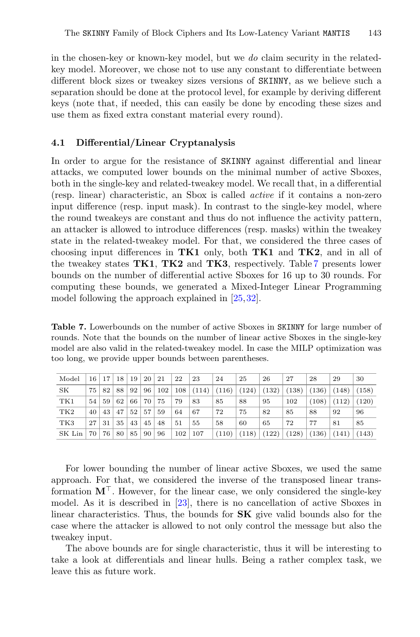in the chosen-key or known-key model, but we *do* claim security in the relatedkey model. Moreover, we chose not to use any constant to differentiate between different block sizes or tweakey sizes versions of SKINNY, as we believe such a separation should be done at the protocol level, for example by deriving different keys (note that, if needed, this can easily be done by encoding these sizes and use them as fixed extra constant material every round).

#### **4.1 Differential/Linear Cryptanalysis**

In order to argue for the resistance of SKINNY against differential and linear attacks, we computed lower bounds on the minimal number of active Sboxes, both in the single-key and related-tweakey model. We recall that, in a differential (resp. linear) characteristic, an Sbox is called *active* if it contains a non-zero input difference (resp. input mask). In contrast to the single-key model, where the round tweakeys are constant and thus do not influence the activity pattern, an attacker is allowed to introduce differences (resp. masks) within the tweakey state in the related-tweakey model. For that, we considered the three cases of choosing input differences in **TK1** only, both **TK1** and **TK2**, and in all of the tweakey states **TK1**, **TK2** and **TK3**, respectively. Table [7](#page-20-0) presents lower bounds on the number of differential active Sboxes for 16 up to 30 rounds. For computing these bounds, we generated a Mixed-Integer Linear Programming model following the approach explained in [\[25](#page-29-13)[,32\]](#page-30-6).

<span id="page-20-0"></span>**Table 7.** Lowerbounds on the number of active Sboxes in SKINNY for large number of rounds. Note that the bounds on the number of linear active Sboxes in the single-key model are also valid in the related-tweakey model. In case the MILP optimization was too long, we provide upper bounds between parentheses.

| Model           | 16 | 17 | 18 | 19 | 20 | 21  | 22  | 23    | 24    | 25    | 26    | 27    | 28    | 29    | 30    |
|-----------------|----|----|----|----|----|-----|-----|-------|-------|-------|-------|-------|-------|-------|-------|
| SK              | 75 | 82 | 88 | 92 | 96 | 102 | 108 | (114) | (116) | (124) | (132) | (138) | (136) | (148) | (158) |
| TK1             | 54 | 59 | 62 | 66 | 70 | 75  | 79  | 83    | 85    | 88    | 95    | 102   | (108) | (112) | (120) |
| TK <sub>2</sub> | 40 | 43 | 47 | 52 | 57 | 59  | 64  | 67    | 72    | 75    | 82    | 85    | 88    | 92    | 96    |
| TK3             | 27 | 31 | 35 | 43 | 45 | 48  | 51  | 55    | 58    | 60    | 65    | 72    | 77    | 81    | 85    |
| SK Lin          | 70 | 76 | 80 | 85 | 90 | 96  | 102 | 107   | (110) | (118) | (122) | (128) | (136) | (141) | (143) |

For lower bounding the number of linear active Sboxes, we used the same approach. For that, we considered the inverse of the transposed linear transformation  $M<sup>T</sup>$ . However, for the linear case, we only considered the single-key model. As it is described in [\[23\]](#page-29-14), there is no cancellation of active Sboxes in linear characteristics. Thus, the bounds for **SK** give valid bounds also for the case where the attacker is allowed to not only control the message but also the tweakey input.

The above bounds are for single characteristic, thus it will be interesting to take a look at differentials and linear hulls. Being a rather complex task, we leave this as future work.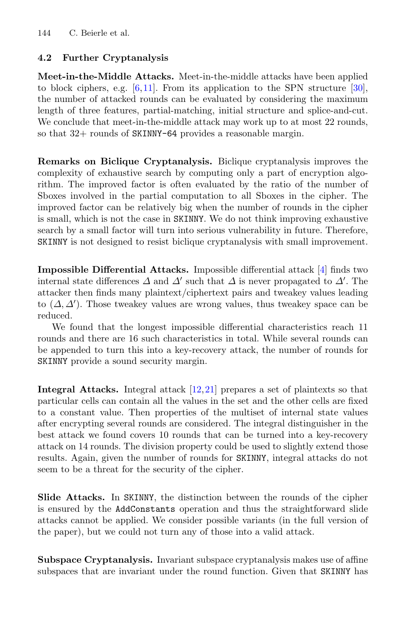# **4.2 Further Cryptanalysis**

**Meet-in-the-Middle Attacks.** Meet-in-the-middle attacks have been applied to block ciphers, e.g.  $[6,11]$  $[6,11]$  $[6,11]$ . From its application to the SPN structure  $[30]$ , the number of attacked rounds can be evaluated by considering the maximum length of three features, partial-matching, initial structure and splice-and-cut. We conclude that meet-in-the-middle attack may work up to at most 22 rounds, so that 32+ rounds of SKINNY-64 provides a reasonable margin.

**Remarks on Biclique Cryptanalysis.** Biclique cryptanalysis improves the complexity of exhaustive search by computing only a part of encryption algorithm. The improved factor is often evaluated by the ratio of the number of Sboxes involved in the partial computation to all Sboxes in the cipher. The improved factor can be relatively big when the number of rounds in the cipher is small, which is not the case in SKINNY. We do not think improving exhaustive search by a small factor will turn into serious vulnerability in future. Therefore, SKINNY is not designed to resist biclique cryptanalysis with small improvement.

**Impossible Differential Attacks.** Impossible differential attack [\[4\]](#page-28-6) finds two internal state differences  $\Delta$  and  $\Delta'$  such that  $\Delta$  is never propagated to  $\Delta'$ . The attacker then finds many plaintext/ciphertext pairs and tweakey values leading to  $(\Delta, \Delta')$ . Those tweakey values are wrong values, thus tweakey space can be reduced.

We found that the longest impossible differential characteristics reach 11 rounds and there are 16 such characteristics in total. While several rounds can be appended to turn this into a key-recovery attack, the number of rounds for SKINNY provide a sound security margin.

**Integral Attacks.** Integral attack [\[12,](#page-29-16)[21\]](#page-29-17) prepares a set of plaintexts so that particular cells can contain all the values in the set and the other cells are fixed to a constant value. Then properties of the multiset of internal state values after encrypting several rounds are considered. The integral distinguisher in the best attack we found covers 10 rounds that can be turned into a key-recovery attack on 14 rounds. The division property could be used to slightly extend those results. Again, given the number of rounds for SKINNY, integral attacks do not seem to be a threat for the security of the cipher.

<span id="page-21-0"></span>**Slide Attacks.** In SKINNY, the distinction between the rounds of the cipher is ensured by the AddConstants operation and thus the straightforward slide attacks cannot be applied. We consider possible variants (in the full version of the paper), but we could not turn any of those into a valid attack.

<span id="page-21-1"></span>**Subspace Cryptanalysis.** Invariant subspace cryptanalysis makes use of affine subspaces that are invariant under the round function. Given that SKINNY has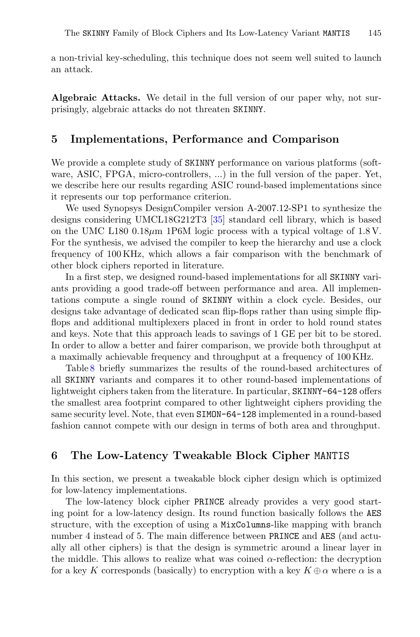a non-trivial key-scheduling, this technique does not seem well suited to launch an attack.

**Algebraic Attacks.** We detail in the full version of our paper why, not surprisingly, algebraic attacks do not threaten SKINNY.

### <span id="page-22-0"></span>**5 Implementations, Performance and Comparison**

We provide a complete study of SKINNY performance on various platforms (software, ASIC, FPGA, micro-controllers, ...) in the full version of the paper. Yet, we describe here our results regarding ASIC round-based implementations since it represents our top performance criterion.

We used Synopsys DesignCompiler version A-2007.12-SP1 to synthesize the designs considering UMCL18G212T3 [\[35\]](#page-30-5) standard cell library, which is based on the UMC L180 0.18 $\mu$ m 1P6M logic process with a typical voltage of 1.8 V. For the synthesis, we advised the compiler to keep the hierarchy and use a clock frequency of 100 KHz, which allows a fair comparison with the benchmark of other block ciphers reported in literature.

In a first step, we designed round-based implementations for all SKINNY variants providing a good trade-off between performance and area. All implementations compute a single round of SKINNY within a clock cycle. Besides, our designs take advantage of dedicated scan flip-flops rather than using simple flipflops and additional multiplexers placed in front in order to hold round states and keys. Note that this approach leads to savings of 1 GE per bit to be stored. In order to allow a better and fairer comparison, we provide both throughput at a maximally achievable frequency and throughput at a frequency of 100 KHz.

Table [8](#page-23-0) briefly summarizes the results of the round-based architectures of all SKINNY variants and compares it to other round-based implementations of lightweight ciphers taken from the literature. In particular, SKINNY-64-128 offers the smallest area footprint compared to other lightweight ciphers providing the same security level. Note, that even SIMON-64-128 implemented in a round-based fashion cannot compete with our design in terms of both area and throughput.

### <span id="page-22-1"></span>**6 The Low-Latency Tweakable Block Cipher** MANTIS

In this section, we present a tweakable block cipher design which is optimized for low-latency implementations.

The low-latency block cipher PRINCE already provides a very good starting point for a low-latency design. Its round function basically follows the AES structure, with the exception of using a MixColumns-like mapping with branch number 4 instead of 5. The main difference between PRINCE and AES (and actually all other ciphers) is that the design is symmetric around a linear layer in the middle. This allows to realize what was coined  $\alpha$ -reflection: the decryption for a key K corresponds (basically) to encryption with a key  $K \oplus \alpha$  where  $\alpha$  is a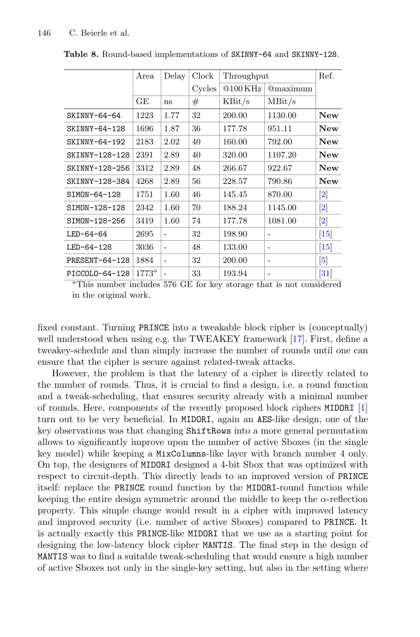|                | Area           | Delay             | Clock  | Throughput           | Ref.                         |                              |
|----------------|----------------|-------------------|--------|----------------------|------------------------------|------------------------------|
|                |                |                   | Cycles | $@100\,\mathrm{KHz}$ | <b>@maximum</b>              |                              |
|                | GЕ             | ns                | #      | KBit/s               | MBit/s                       |                              |
| SKINNY-64-64   | 1223           | 1.77              | 32     | 200.00               | 1130.00                      | <b>New</b>                   |
| SKINNY-64-128  | 1696           | 1.87              | 36     | 177.78               | 951.11                       | <b>New</b>                   |
| SKINNY-64-192  | 2183           | 2.02              | 40     | 160.00               | 792.00                       | <b>New</b>                   |
| SKINNY-128-128 | 2391           | 2.89              | 40     | 320.00               | 1107.20                      | <b>New</b>                   |
| SKINNY-128-256 | 3312           | 2.89              | 48     | 266.67               | 922.67                       | <b>New</b>                   |
| SKINNY-128-384 | 4268           | 2.89              | 56     | 228.57               | 790.86                       | <b>New</b>                   |
| SIMON-64-128   | 1751           | 1.60              | 46     | 145.45               | 870.00                       | $\left 2\right $             |
| SIMON-128-128  | 2342           | 1.60              | 70     | 188.24               | 1145.00                      | $\left\lceil 2 \right\rceil$ |
| SIMON-128-256  | 3419           | 1.60              | 74     | 177.78               | 1081.00                      | $\left\lceil 2 \right\rceil$ |
| LED-64-64      | 2695           | $\qquad \qquad -$ | 32     | 198.90               | $\qquad \qquad \blacksquare$ | $\vert 15 \vert$             |
| LED-64-128     | 3036           | ۰                 | 48     | 133.00               | -                            | $\vert 15 \vert$             |
| PRESENT-64-128 | 1884           | ۰                 | 32     | 200.00               | $\qquad \qquad -$            | $\vert 5 \vert$              |
| PICCOLO-64-128 | $1773^{\circ}$ |                   | 33     | 193.94               | -                            | 31                           |

<span id="page-23-0"></span>**Table 8.** Round-based implementations of SKINNY-64 and SKINNY-128.

<sup>a</sup>This number includes 576 GE for key storage that is not considered in the original work.

fixed constant. Turning PRINCE into a tweakable block cipher is (conceptually) well understood when using e.g. the TWEAKEY framework [\[17](#page-29-8)]. First, define a tweakey-schedule and than simply increase the number of rounds until one can ensure that the cipher is secure against related-tweak attacks.

However, the problem is that the latency of a cipher is directly related to the number of rounds. Thus, it is crucial to find a design, i.e. a round function and a tweak-scheduling, that ensures security already with a minimal number of rounds. Here, components of the recently proposed block ciphers MIDORI [\[1](#page-28-4)] turn out to be very beneficial. In MIDORI, again an AES-like design, one of the key observations was that changing ShiftRows into a more general permutation allows to significantly improve upon the number of active Sboxes (in the single key model) while keeping a MixColumns-like layer with branch number 4 only. On top, the designers of MIDORI designed a 4-bit Sbox that was optimized with respect to circuit-depth. This directly leads to an improved version of PRINCE itself: replace the PRINCE round function by the MIDORI-round function while keeping the entire design symmetric around the middle to keep the  $\alpha$ -reflection property. This simple change would result in a cipher with improved latency and improved security (i.e. number of active Sboxes) compared to PRINCE. It is actually exactly this PRINCE-like MIDORI that we use as a starting point for designing the low-latency block cipher MANTIS. The final step in the design of MANTIS was to find a suitable tweak-scheduling that would ensure a high number of active Sboxes not only in the single-key setting, but also in the setting where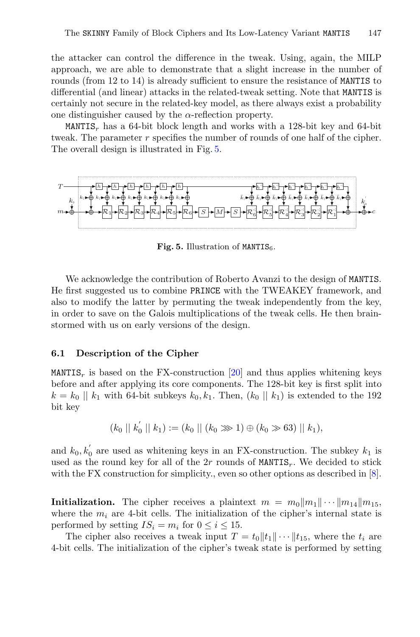the attacker can control the difference in the tweak. Using, again, the MILP approach, we are able to demonstrate that a slight increase in the number of rounds (from 12 to 14) is already sufficient to ensure the resistance of MANTIS to differential (and linear) attacks in the related-tweak setting. Note that MANTIS is certainly not secure in the related-key model, as there always exist a probability one distinguisher caused by the  $\alpha$ -reflection property.

MANTIS<sub>r</sub> has a 64-bit block length and works with a 128-bit key and 64-bit tweak. The parameter r specifies the number of rounds of one half of the cipher. The overall design is illustrated in Fig. [5.](#page-24-0)



<span id="page-24-0"></span>Fig. 5. Illustration of MANTIS<sub>6</sub>.

We acknowledge the contribution of Roberto Avanzi to the design of MANTIS. He first suggested us to combine PRINCE with the TWEAKEY framework, and also to modify the latter by permuting the tweak independently from the key, in order to save on the Galois multiplications of the tweak cells. He then brainstormed with us on early versions of the design.

### **6.1 Description of the Cipher**

MANTIS<sub>r</sub> is based on the FX-construction [\[20\]](#page-29-18) and thus applies whitening keys before and after applying its core components. The 128-bit key is first split into  $k = k_0 || k_1$  with 64-bit subkeys  $k_0, k_1$ . Then,  $(k_0 || k_1)$  is extended to the 192 bit key

$$
(k_0 || k'_0 || k_1) := (k_0 || (k_0 \gg 1) \oplus (k_0 \gg 63) || k_1),
$$

and  $k_0, k'_0$  are used as whitening keys in an FX-construction. The subkey  $k_1$  is used as the round key for all of the  $2r$  rounds of MANTIS<sub>r</sub>. We decided to stick with the FX construction for simplicity, even so other options as described in [\[8\]](#page-29-19).

**Initialization.** The cipher receives a plaintext  $m = m_0 ||m_1|| \cdots ||m_{14}|| m_{15}$ , where the  $m_i$  are 4-bit cells. The initialization of the cipher's internal state is performed by setting  $IS_i = m_i$  for  $0 \le i \le 15$ .

The cipher also receives a tweak input  $T = t_0 ||t_1|| \cdots ||t_{15}$ , where the  $t_i$  are 4-bit cells. The initialization of the cipher's tweak state is performed by setting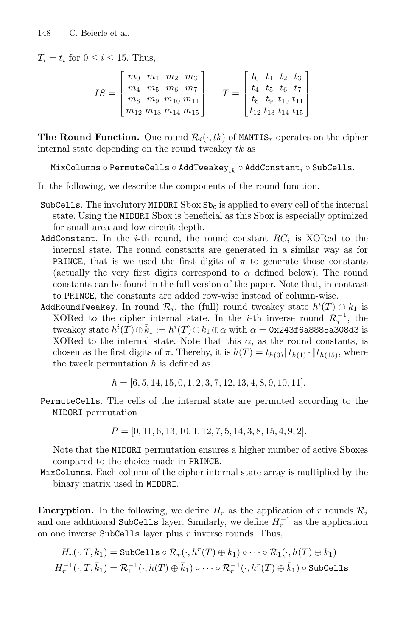$T_i = t_i$  for  $0 \leq i \leq 15$ . Thus,

$$
IS = \begin{bmatrix} m_0 & m_1 & m_2 & m_3 \\ m_4 & m_5 & m_6 & m_7 \\ m_8 & m_9 & m_{10} & m_{11} \\ m_{12} & m_{13} & m_{14} & m_{15} \end{bmatrix} \qquad T = \begin{bmatrix} t_0 & t_1 & t_2 & t_3 \\ t_4 & t_5 & t_6 & t_7 \\ t_8 & t_9 & t_{10} & t_{11} \\ t_{12} & t_{13} & t_{14} & t_{15} \end{bmatrix}
$$

**The Round Function.** One round  $\mathcal{R}_i(\cdot, t_k)$  of MANTIS<sub>r</sub> operates on the cipher internal state depending on the round tweakey  $tk$  as

MixColumns  $\circ$  PermuteCells  $\circ$  AddTweakey $_{tk}$   $\circ$  AddConstant<sub>i</sub>  $\circ$  SubCells.

In the following, we describe the components of the round function.

- SubCells. The involutory MIDORI Sbox  $Sb_0$  is applied to every cell of the internal state. Using the MIDORI Sbox is beneficial as this Sbox is especially optimized for small area and low circuit depth.
- AddConstant. In the *i*-th round, the round constant  $RC_i$  is XORed to the internal state. The round constants are generated in a similar way as for PRINCE, that is we used the first digits of  $\pi$  to generate those constants (actually the very first digits correspond to  $\alpha$  defined below). The round constants can be found in the full version of the paper. Note that, in contrast to PRINCE, the constants are added row-wise instead of column-wise.
- AddRoundTweakey. In round  $\mathcal{R}_i$ , the (full) round tweakey state  $h^i(T) \oplus k_1$  is XORed to the cipher internal state. In the i-th inverse round  $\mathcal{R}_i^{-1}$ , the tweakey state  $h^{i}(T) \oplus \bar{k}_1 := h^{i}(T) \oplus k_1 \oplus \alpha$  with  $\alpha = 0$ x243f6a8885a308d3 is XORed to the internal state. Note that this  $\alpha$ , as the round constants, is chosen as the first digits of  $\pi$ . Thereby, it is  $h(T) = t_{h(0)} || t_{h(1)} \cdot || t_{h(15)}$ , where the tweak permutation  $h$  is defined as

 $h = [6, 5, 14, 15, 0, 1, 2, 3, 7, 12, 13, 4, 8, 9, 10, 11].$ 

PermuteCells. The cells of the internal state are permuted according to the MIDORI permutation

$$
P = [0, 11, 6, 13, 10, 1, 12, 7, 5, 14, 3, 8, 15, 4, 9, 2].
$$

Note that the MIDORI permutation ensures a higher number of active Sboxes compared to the choice made in PRINCE.

MixColumns. Each column of the cipher internal state array is multiplied by the binary matrix used in MIDORI.

**Encryption.** In the following, we define  $H_r$  as the application of r rounds  $\mathcal{R}_i$ and one additional SubCells layer. Similarly, we define  $H_r^{-1}$  as the application on one inverse SubCells layer plus  $r$  inverse rounds. Thus,

$$
H_r(\cdot, T, k_1) = \text{SubCells} \circ \mathcal{R}_r(\cdot, h^r(T) \oplus k_1) \circ \cdots \circ \mathcal{R}_1(\cdot, h(T) \oplus k_1)
$$
  

$$
H_r^{-1}(\cdot, T, \bar{k}_1) = \mathcal{R}_1^{-1}(\cdot, h(T) \oplus \bar{k}_1) \circ \cdots \circ \mathcal{R}_r^{-1}(\cdot, h^r(T) \oplus \bar{k}_1) \circ \text{SubCells.}
$$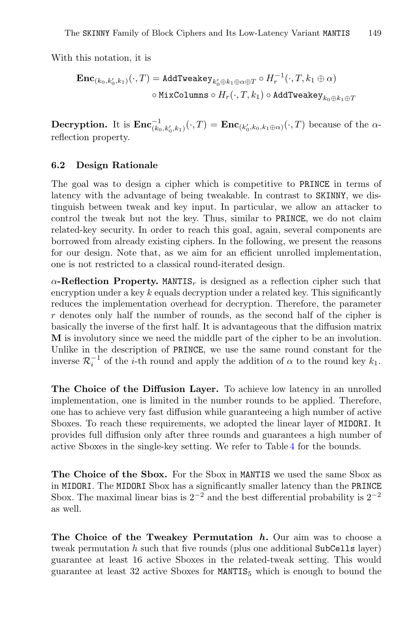With this notation, it is

$$
\begin{aligned} \mathbf{Enc}_{(k_0,k'_0,k_1)}(\cdot,T) &= \mathtt{AddTweakey}_{k'_0\oplus k_1\oplus \alpha\oplus T} \circ H_r^{-1}(\cdot,T,k_1\oplus \alpha) \\ &\quad \circ \mathtt{MixColumns} \circ H_r(\cdot,T,k_1) \circ \mathtt{AddTweakey}_{k_0\oplus k_1\oplus T} \end{aligned}
$$

**Decryption.** It is  $\text{Enc}_{(k_0, k'_0, k_1)}(\cdot, T) = \text{Enc}_{(k'_0, k_0, k_1 \oplus \alpha)}(\cdot, T)$  because of the  $\alpha$ reflection property.

### **6.2 Design Rationale**

The goal was to design a cipher which is competitive to PRINCE in terms of latency with the advantage of being tweakable. In contrast to SKINNY, we distinguish between tweak and key input. In particular, we allow an attacker to control the tweak but not the key. Thus, similar to PRINCE, we do not claim related-key security. In order to reach this goal, again, several components are borrowed from already existing ciphers. In the following, we present the reasons for our design. Note that, as we aim for an efficient unrolled implementation, one is not restricted to a classical round-iterated design.

 $\alpha$ -Reflection Property. MANTIS<sub>r</sub> is designed as a reflection cipher such that encryption under a key  $k$  equals decryption under a related key. This significantly reduces the implementation overhead for decryption. Therefore, the parameter r denotes only half the number of rounds, as the second half of the cipher is basically the inverse of the first half. It is advantageous that the diffusion matrix **M** is involutory since we need the middle part of the cipher to be an involution. Unlike in the description of PRINCE, we use the same round constant for the inverse  $\mathcal{R}_i^{-1}$  of the *i*-th round and apply the addition of  $\alpha$  to the round key  $k_1$ .

**The Choice of the Diffusion Layer.** To achieve low latency in an unrolled implementation, one is limited in the number rounds to be applied. Therefore, one has to achieve very fast diffusion while guaranteeing a high number of active Sboxes. To reach these requirements, we adopted the linear layer of MIDORI. It provides full diffusion only after three rounds and guarantees a high number of active Sboxes in the single-key setting. We refer to Table [4](#page-17-0) for the bounds.

**The Choice of the Sbox.** For the Sbox in MANTIS we used the same Sbox as in MIDORI. The MIDORI Sbox has a significantly smaller latency than the PRINCE Sbox. The maximal linear bias is  $2^{-2}$  and the best differential probability is  $2^{-2}$ as well.

**The Choice of the Tweakey Permutation** *h***.** Our aim was to choose a tweak permutation  $h$  such that five rounds (plus one additional SubCells layer) guarantee at least 16 active Sboxes in the related-tweak setting. This would guarantee at least  $32$  active Sboxes for MANTIS<sub>5</sub> which is enough to bound the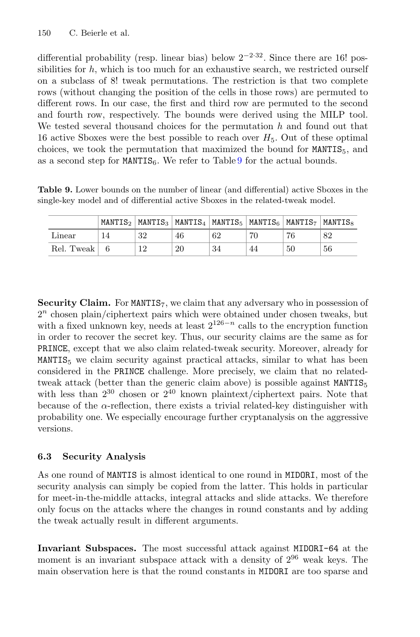differential probability (resp. linear bias) below  $2^{-2.32}$ . Since there are 16! possibilities for  $h$ , which is too much for an exhaustive search, we restricted ourself on a subclass of 8! tweak permutations. The restriction is that two complete rows (without changing the position of the cells in those rows) are permuted to different rows. In our case, the first and third row are permuted to the second and fourth row, respectively. The bounds were derived using the MILP tool. We tested several thousand choices for the permutation  $h$  and found out that 16 active Sboxes were the best possible to reach over  $H_5$ . Out of these optimal choices, we took the permutation that maximized the bound for  $MANTIS_5$ , and as a second step for MANTIS<sub>6</sub>. We refer to Table [9](#page-27-0) for the actual bounds.

<span id="page-27-0"></span>**Table 9.** Lower bounds on the number of linear (and differential) active Sboxes in the single-key model and of differential active Sboxes in the related-tweak model.

|            |     |    | MANTIS <sub>2</sub>   MANTIS <sub>3</sub>   MANTIS <sub>4</sub>   MANTIS <sub>5</sub>   MANTIS <sub>6</sub>   MANTIS <sub>7</sub>   MANTIS <sub>8</sub> |    |    |    |
|------------|-----|----|---------------------------------------------------------------------------------------------------------------------------------------------------------|----|----|----|
| Linear     | 32  | 46 | 62                                                                                                                                                      |    |    | 82 |
| Rel. Tweak | 1 ດ | 20 | 34                                                                                                                                                      | 44 | 50 | 56 |

**Security Claim.** For  $MANTIS<sub>7</sub>$ , we claim that any adversary who in possession of  $2<sup>n</sup>$  chosen plain/ciphertext pairs which were obtained under chosen tweaks, but with a fixed unknown key, needs at least  $2^{126-n}$  calls to the encryption function in order to recover the secret key. Thus, our security claims are the same as for PRINCE, except that we also claim related-tweak security. Moreover, already for  $MANTIS<sub>5</sub>$  we claim security against practical attacks, similar to what has been considered in the PRINCE challenge. More precisely, we claim that no relatedtweak attack (better than the generic claim above) is possible against MANTIS<sub>5</sub> with less than  $2^{30}$  chosen or  $2^{40}$  known plaintext/ciphertext pairs. Note that because of the  $\alpha$ -reflection, there exists a trivial related-key distinguisher with probability one. We especially encourage further cryptanalysis on the aggressive versions.

# **6.3 Security Analysis**

As one round of MANTIS is almost identical to one round in MIDORI, most of the security analysis can simply be copied from the latter. This holds in particular for meet-in-the-middle attacks, integral attacks and slide attacks. We therefore only focus on the attacks where the changes in round constants and by adding the tweak actually result in different arguments.

**Invariant Subspaces.** The most successful attack against MIDORI-64 at the moment is an invariant subspace attack with a density of  $2^{96}$  weak keys. The main observation here is that the round constants in MIDORI are too sparse and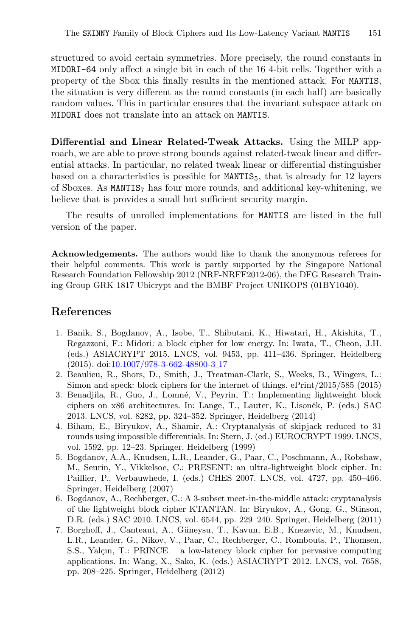structured to avoid certain symmetries. More precisely, the round constants in MIDORI-64 only affect a single bit in each of the 16 4-bit cells. Together with a property of the Sbox this finally results in the mentioned attack. For MANTIS, the situation is very different as the round constants (in each half) are basically random values. This in particular ensures that the invariant subspace attack on MIDORI does not translate into an attack on MANTIS.

**Differential and Linear Related-Tweak Attacks.** Using the MILP approach, we are able to prove strong bounds against related-tweak linear and differential attacks. In particular, no related tweak linear or differential distinguisher based on a characteristics is possible for  $MANTIS<sub>5</sub>$ , that is already for 12 layers of Sboxes. As  $MANTIS<sub>7</sub>$  has four more rounds, and additional key-whitening, we believe that is provides a small but sufficient security margin.

The results of unrolled implementations for MANTIS are listed in the full version of the paper.

**Acknowledgements.** The authors would like to thank the anonymous referees for their helpful comments. This work is partly supported by the Singapore National Research Foundation Fellowship 2012 (NRF-NRFF2012-06), the DFG Research Training Group GRK 1817 Ubicrypt and the BMBF Project UNIKOPS (01BY1040).

# <span id="page-28-4"></span>**References**

- 1. Banik, S., Bogdanov, A., Isobe, T., Shibutani, K., Hiwatari, H., Akishita, T., Regazzoni, F.: Midori: a block cipher for low energy. In: Iwata, T., Cheon, J.H. (eds.) ASIACRYPT 2015. LNCS, vol. 9453, pp. 411–436. Springer, Heidelberg (2015). doi[:10.1007/978-3-662-48800-3](http://dx.doi.org/10.1007/978-3-662-48800-3_17) 17
- <span id="page-28-2"></span>2. Beaulieu, R., Shors, D., Smith, J., Treatman-Clark, S., Weeks, B., Wingers, L.: Simon and speck: block ciphers for the internet of things. ePrint/2015/585 (2015)
- <span id="page-28-0"></span>3. Benadjila, R., Guo, J., Lomn´e, V., Peyrin, T.: Implementing lightweight block ciphers on x86 architectures. In: Lange, T., Lauter, K., Lisoněk, P. (eds.) SAC 2013. LNCS, vol. 8282, pp. 324–352. Springer, Heidelberg (2014)
- <span id="page-28-6"></span>4. Biham, E., Biryukov, A., Shamir, A.: Cryptanalysis of skipjack reduced to 31 rounds using impossible differentials. In: Stern, J. (ed.) EUROCRYPT 1999. LNCS, vol. 1592, pp. 12–23. Springer, Heidelberg (1999)
- <span id="page-28-1"></span>5. Bogdanov, A.A., Knudsen, L.R., Leander, G., Paar, C., Poschmann, A., Robshaw, M., Seurin, Y., Vikkelsoe, C.: PRESENT: an ultra-lightweight block cipher. In: Paillier, P., Verbauwhede, I. (eds.) CHES 2007. LNCS, vol. 4727, pp. 450–466. Springer, Heidelberg (2007)
- <span id="page-28-5"></span>6. Bogdanov, A., Rechberger, C.: A 3-subset meet-in-the-middle attack: cryptanalysis of the lightweight block cipher KTANTAN. In: Biryukov, A., Gong, G., Stinson, D.R. (eds.) SAC 2010. LNCS, vol. 6544, pp. 229–240. Springer, Heidelberg (2011)
- <span id="page-28-3"></span>7. Borghoff, J., Canteaut, A., Güneysu, T., Kavun, E.B., Knezevic, M., Knudsen, L.R., Leander, G., Nikov, V., Paar, C., Rechberger, C., Rombouts, P., Thomsen, S.S., Yalçın, T.: PRINCE – a low-latency block cipher for pervasive computing applications. In: Wang, X., Sako, K. (eds.) ASIACRYPT 2012. LNCS, vol. 7658, pp. 208–225. Springer, Heidelberg (2012)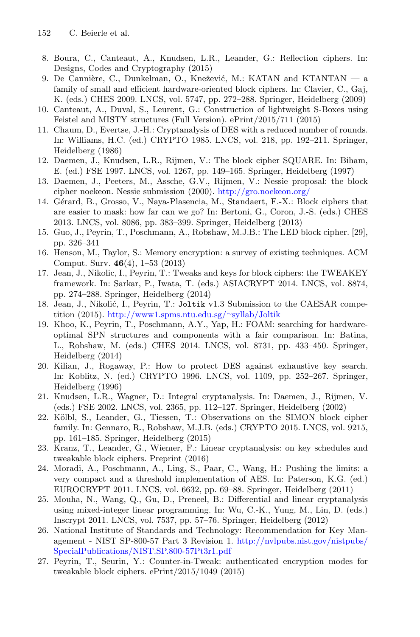- <span id="page-29-19"></span>8. Boura, C., Canteaut, A., Knudsen, L.R., Leander, G.: Reflection ciphers. In: Designs, Codes and Cryptography (2015)
- <span id="page-29-1"></span>9. De Cannière, C., Dunkelman, O., Knežević, M.: KATAN and KTANTAN — a family of small and efficient hardware-oriented block ciphers. In: Clavier, C., Gaj, K. (eds.) CHES 2009. LNCS, vol. 5747, pp. 272–288. Springer, Heidelberg (2009)
- <span id="page-29-12"></span>10. Canteaut, A., Duval, S., Leurent, G.: Construction of lightweight S-Boxes using Feistel and MISTY structures (Full Version). ePrint/2015/711 (2015)
- <span id="page-29-15"></span>11. Chaum, D., Evertse, J.-H.: Cryptanalysis of DES with a reduced number of rounds. In: Williams, H.C. (ed.) CRYPTO 1985. LNCS, vol. 218, pp. 192–211. Springer, Heidelberg (1986)
- <span id="page-29-16"></span>12. Daemen, J., Knudsen, L.R., Rijmen, V.: The block cipher SQUARE. In: Biham, E. (ed.) FSE 1997. LNCS, vol. 1267, pp. 149–165. Springer, Heidelberg (1997)
- <span id="page-29-4"></span>13. Daemen, J., Peeters, M., Assche, G.V., Rijmen, V.: Nessie proposal: the block cipher noekeon. Nessie submission (2000). <http://gro.noekeon.org/>
- <span id="page-29-3"></span>14. Gérard, B., Grosso, V., Naya-Plasencia, M., Standaert, F.-X.: Block ciphers that are easier to mask: how far can we go? In: Bertoni, G., Coron, J.-S. (eds.) CHES 2013. LNCS, vol. 8086, pp. 383–399. Springer, Heidelberg (2013)
- <span id="page-29-0"></span>15. Guo, J., Peyrin, T., Poschmann, A., Robshaw, M.J.B.: The LED block cipher. [29], pp. 326–341
- <span id="page-29-6"></span>16. Henson, M., Taylor, S.: Memory encryption: a survey of existing techniques. ACM Comput. Surv. **46**(4), 1–53 (2013)
- <span id="page-29-8"></span>17. Jean, J., Nikolic, I., Peyrin, T.: Tweaks and keys for block ciphers: the TWEAKEY framework. In: Sarkar, P., Iwata, T. (eds.) ASIACRYPT 2014. LNCS, vol. 8874, pp. 274–288. Springer, Heidelberg (2014)
- <span id="page-29-5"></span>18. Jean, J., Nikolić, I., Peyrin, T.: Joltik v1.3 Submission to the CAESAR competition (2015). [http://www1.spms.ntu.edu.sg/](http://www1.spms.ntu.edu.sg/~syllab/Joltik)∼syllab/Joltik
- <span id="page-29-11"></span>19. Khoo, K., Peyrin, T., Poschmann, A.Y., Yap, H.: FOAM: searching for hardwareoptimal SPN structures and components with a fair comparison. In: Batina, L., Robshaw, M. (eds.) CHES 2014. LNCS, vol. 8731, pp. 433–450. Springer, Heidelberg (2014)
- <span id="page-29-18"></span>20. Kilian, J., Rogaway, P.: How to protect DES against exhaustive key search. In: Koblitz, N. (ed.) CRYPTO 1996. LNCS, vol. 1109, pp. 252–267. Springer, Heidelberg (1996)
- <span id="page-29-17"></span>21. Knudsen, L.R., Wagner, D.: Integral cryptanalysis. In: Daemen, J., Rijmen, V. (eds.) FSE 2002. LNCS, vol. 2365, pp. 112–127. Springer, Heidelberg (2002)
- <span id="page-29-2"></span>22. Kölbl, S., Leander, G., Tiessen, T.: Observations on the SIMON block cipher family. In: Gennaro, R., Robshaw, M.J.B. (eds.) CRYPTO 2015. LNCS, vol. 9215, pp. 161–185. Springer, Heidelberg (2015)
- <span id="page-29-14"></span>23. Kranz, T., Leander, G., Wiemer, F.: Linear cryptanalysis: on key schedules and tweakable block ciphers. Preprint (2016)
- <span id="page-29-9"></span>24. Moradi, A., Poschmann, A., Ling, S., Paar, C., Wang, H.: Pushing the limits: a very compact and a threshold implementation of AES. In: Paterson, K.G. (ed.) EUROCRYPT 2011. LNCS, vol. 6632, pp. 69–88. Springer, Heidelberg (2011)
- <span id="page-29-13"></span>25. Mouha, N., Wang, Q., Gu, D., Preneel, B.: Differential and linear cryptanalysis using mixed-integer linear programming. In: Wu, C.-K., Yung, M., Lin, D. (eds.) Inscrypt 2011. LNCS, vol. 7537, pp. 57–76. Springer, Heidelberg (2012)
- <span id="page-29-10"></span>26. National Institute of Standards and Technology: Recommendation for Key Management - NIST SP-800-57 Part 3 Revision 1. [http://nvlpubs.nist.gov/nistpubs/](http://nvlpubs.nist.gov/nistpubs/SpecialPublications/NIST.SP.800-57Pt3r1.pdf) [SpecialPublications/NIST.SP.800-57Pt3r1.pdf](http://nvlpubs.nist.gov/nistpubs/SpecialPublications/NIST.SP.800-57Pt3r1.pdf)
- <span id="page-29-7"></span>27. Peyrin, T., Seurin, Y.: Counter-in-Tweak: authenticated encryption modes for tweakable block ciphers. ePrint/2015/1049 (2015)